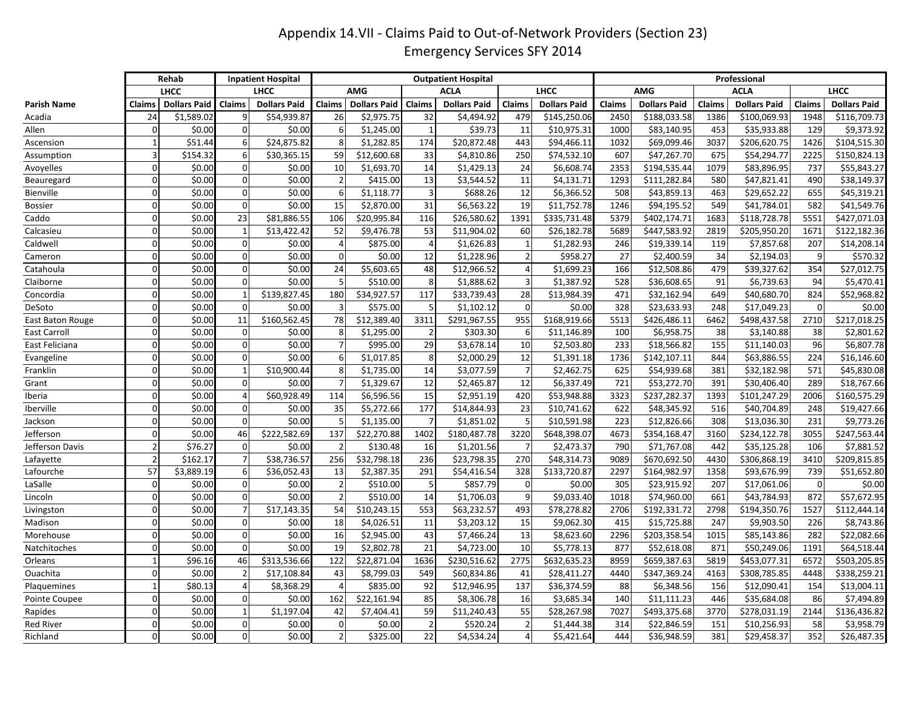## Appendix 14.VII - Claims Paid to Out-of-Network Providers (Section 23) Emergency Services SFY 2014

|                     |                          | Rehab               |                 | <b>Inpatient Hospital</b> |                |                     |                | <b>Outpatient Hospital</b> |                |                     | Professional |                     |        |                     |             |                     |
|---------------------|--------------------------|---------------------|-----------------|---------------------------|----------------|---------------------|----------------|----------------------------|----------------|---------------------|--------------|---------------------|--------|---------------------|-------------|---------------------|
|                     |                          | <b>LHCC</b>         |                 | <b>LHCC</b>               |                | <b>AMG</b>          |                | <b>ACLA</b>                |                | <b>LHCC</b>         |              | <b>AMG</b>          |        | <b>ACLA</b>         |             | <b>LHCC</b>         |
| Parish Name         | Claims                   | <b>Dollars Paid</b> | Claims          | <b>Dollars Paid</b>       | <b>Claims</b>  | <b>Dollars Paid</b> | Claims         | <b>Dollars Paid</b>        | Claims         | <b>Dollars Paid</b> | Claims       | <b>Dollars Paid</b> | Claims | <b>Dollars Paid</b> | Claims      | <b>Dollars Paid</b> |
| Acadia              | 24                       | \$1,589.02          | 9               | \$54,939.87               | 26             | \$2,975.75          | 32             | \$4,494.92                 | 479            | \$145,250.06        | 2450         | \$188,033.58        | 1386   | \$100,069.93        | 1948        | \$116,709.73        |
| Allen               | $\mathbf 0$              | \$0.00              | $\mathbf 0$     | \$0.00                    | 6              | \$1,245.00          | $\overline{1}$ | \$39.73                    | 11             | \$10,975.31         | 1000         | \$83,140.95         | 453    | \$35,933.88         | 129         | \$9,373.92          |
| Ascension           | $\mathbf{1}$             | \$51.44             | 6               | \$24,875.82               | 8              | \$1,282.85          | 174            | \$20,872.48                | 443            | \$94,466.11         | 1032         | \$69,099.46         | 3037   | \$206,620.75        | 1426        | \$104,515.30        |
| Assumption          | 3                        | \$154.32            | 6               | \$30,365.15               | 59             | \$12,600.68         | 33             | \$4,810.86                 | 250            | \$74,532.10         | 607          | \$47,267.70         | 675    | \$54,294.77         | 2225        | \$150,824.13        |
| Avoyelles           | $\Omega$                 | \$0.00              | $\mathbf 0$     | \$0.00                    | 10             | \$1,693.70          | 14             | \$1,429.13                 | 24             | \$6,608.74          | 2353         | \$194,535.44        | 1079   | \$83,896.95         | 737         | \$55,843.27         |
| Beauregard          | $\mathbf 0$              | \$0.00              | $\mathbf 0$     | \$0.00                    | $\overline{2}$ | \$415.00            | 13             | \$3,544.52                 | 11             | \$4,131.71          | 1293         | \$111,282.84        | 580    | \$47,821.41         | 490         | \$38,149.37         |
| Bienville           | $\Omega$                 | \$0.00              | $\mathbf 0$     | \$0.00                    | 6              | \$1,118.77          | $\overline{a}$ | \$688.26                   | 12             | \$6,366.52          | 508          | \$43,859.13         | 463    | \$29,652.22         | 655         | \$45,319.21         |
| <b>Bossier</b>      | $\Omega$                 | \$0.00              | $\mathbf 0$     | \$0.00                    | 15             | \$2,870.00          | 31             | \$6,563.22                 | 19             | \$11,752.78         | 1246         | \$94,195.52         | 549    | \$41,784.01         | 582         | \$41,549.76         |
| Caddo               | $\Omega$                 | \$0.00              | $\overline{23}$ | \$81,886.55               | 106            | \$20,995.84         | 116            | \$26,580.62                | 1391           | \$335,731.48        | 5379         | \$402,174.71        | 1683   | \$118,728.78        | 5551        | \$427,071.03        |
| Calcasieu           | $\Omega$                 | \$0.00              | $\mathbf{1}$    | \$13,422.42               | 52             | \$9,476.78          | 53             | \$11,904.02                | 60             | \$26,182.78         | 5689         | \$447,583.92        | 2819   | \$205,950.20        | 1671        | \$122,182.36        |
| Caldwell            | $\Omega$                 | \$0.00              | $\mathbf 0$     | \$0.00                    | $\overline{4}$ | \$875.00            | $\overline{4}$ | \$1,626.83                 | 1              | \$1,282.93          | 246          | \$19,339.14         | 119    | \$7,857.68          | 207         | \$14,208.14         |
| Cameron             | $\Omega$                 | \$0.00              | $\mathbf 0$     | \$0.00                    | $\Omega$       | \$0.00              | 12             | \$1,228.96                 | $\overline{2}$ | \$958.27            | 27           | \$2,400.59          | 34     | \$2,194.03          | 9           | \$570.32            |
| Catahoula           | $\Omega$                 | \$0.00              | $\mathbf 0$     | \$0.00                    | 24             | \$5,603.65          | 48             | \$12,966.52                |                | \$1,699.23          | 166          | \$12,508.86         | 479    | \$39,327.62         | 354         | \$27,012.75         |
| Claiborne           | $\Omega$                 | \$0.00              | $\mathbf 0$     | \$0.00                    | 5              | \$510.00            | 8              | \$1,888.62                 | $\overline{3}$ | \$1,387.92          | 528          | \$36,608.65         | 91     | \$6,739.63          | 94          | \$5,470.41          |
| Concordia           | $\Omega$                 | \$0.00              | $\mathbf{1}$    | \$139,827.45              | 180            | \$34,927.57         | 117            | \$33,739.43                | 28             | \$13,984.39         | 471          | \$32,162.94         | 649    | \$40,680.70         | 824         | \$52,968.82         |
| DeSoto              | $\Omega$                 | \$0.00              | $\mathbf 0$     | \$0.00                    | 3              | \$575.00            | 5              | \$1,102.12                 | $\Omega$       | \$0.00              | 328          | \$23,633.93         | 248    | \$17,049.23         | $\Omega$    | \$0.00              |
| East Baton Rouge    | $\Omega$                 | \$0.00              | 11              | \$160,562.45              | 78             | \$12,389.40         | 3311           | \$291,967.55               | 955            | \$168,919.66        | 5513         | \$426,486.11        | 6462   | \$498,437.58        | 2710        | \$217,018.25        |
| <b>East Carroll</b> | $\mathbf 0$              | \$0.00              | $\mathbf 0$     | \$0.00                    | 8              | \$1,295.00          | $\overline{2}$ | \$303.30                   | 6              | \$11,146.89         | 100          | \$6,958.75          | 38     | \$3,140.88          | 38          | \$2,801.62          |
| East Feliciana      | $\Omega$                 | \$0.00              | $\overline{0}$  | \$0.00                    | $\overline{7}$ | \$995.00            | 29             | \$3,678.14                 | 10             | \$2,503.80          | 233          | \$18,566.82         | 155    | \$11,140.03         | 96          | \$6,807.78          |
| Evangeline          | $\Omega$                 | \$0.00              | $\mathbf 0$     | \$0.00                    | 6              | \$1,017.85          | 8              | \$2,000.29                 | 12             | \$1,391.18          | 1736         | \$142,107.11        | 844    | \$63,886.55         | 224         | \$16,146.60         |
| Franklin            | $\mathbf 0$              | \$0.00              | $\mathbf{1}$    | \$10,900.44               | 8              | \$1,735.00          | 14             | \$3,077.59                 | $\overline{7}$ | \$2,462.75          | 625          | \$54,939.68         | 381    | \$32,182.98         | 571         | \$45,830.08         |
| Grant               | $\Omega$                 | \$0.00              | $\overline{0}$  | \$0.00                    | $\overline{7}$ | \$1,329.67          | 12             | \$2,465.87                 | 12             | \$6,337.49          | 721          | \$53,272.70         | 391    | \$30,406.40         | 289         | \$18,767.66         |
| Iberia              | $\mathbf 0$              | \$0.00              | $\Delta$        | \$60,928.49               | 114            | \$6,596.56          | 15             | \$2,951.19                 | 420            | \$53,948.88         | 3323         | \$237,282.37        | 1393   | \$101,247.29        | 2006        | \$160,575.29        |
| Iberville           | $\mathbf{0}$             | \$0.00              | 0               | \$0.00                    | 35             | \$5,272.66          | 177            | \$14,844.93                | 23             | \$10,741.62         | 622          | \$48,345.92         | 516    | \$40,704.89         | 248         | \$19,427.66         |
| Jackson             | $\Omega$                 | \$0.00              | $\pmb{0}$       | \$0.00                    | 5              | \$1,135.00          | $\overline{7}$ | \$1,851.02                 | 5              | \$10,591.98         | 223          | \$12,826.66         | 308    | \$13,036.30         | 231         | \$9,773.26          |
| Jefferson           | $\Omega$                 | \$0.00              | 46              | \$222,582.69              | 137            | \$22,270.88         | 1402           | \$180,487.78               | 3220           | \$648,398.07        | 4673         | \$354,168.47        | 3160   | \$234,122.78        | 3055        | \$247,563.44        |
| Jefferson Davis     | $\overline{2}$           | \$76.27             | 0               | \$0.00                    | $\overline{2}$ | \$130.48            | 16             | \$1,201.56                 | 7              | \$2,473.37          | 790          | \$71,767.08         | 442    | \$35,125.28         | 106         | \$7,881.52          |
| Lafayette           | $\overline{\phantom{a}}$ | \$162.17            | $\overline{7}$  | \$38,736.57               | 256            | \$32,798.18         | 236            | \$23,798.35                | 270            | \$48,314.73         | 9089         | \$670,692.50        | 4430   | \$306,868.19        | 3410        | \$209,815.85        |
| Lafourche           | 57                       | \$3,889.19          | 6               | \$36,052.43               | 13             | \$2,387.35          | 291            | \$54,416.54                | 328            | \$133,720.87        | 2297         | \$164,982.97        | 1358   | \$93,676.99         | 739         | \$51,652.80         |
| LaSalle             | $\mathbf 0$              | \$0.00              | $\mathbf 0$     | \$0.00                    | $\overline{2}$ | \$510.00            | 5              | \$857.79                   | 0              | \$0.00              | 305          | \$23,915.92         | 207    | \$17,061.06         | $\mathbf 0$ | \$0.00              |
| Lincoln             | $\Omega$                 | \$0.00              | $\mathbf 0$     | \$0.00                    | $\overline{2}$ | \$510.00            | 14             | \$1,706.03                 | $\mathsf{q}$   | \$9,033.40          | 1018         | \$74,960.00         | 661    | \$43,784.93         | 872         | \$57,672.95         |
| Livingston          | $\Omega$                 | \$0.00              | $\overline{7}$  | \$17,143.35               | 54             | \$10,243.15         | 553            | \$63,232.57                | 493            | \$78,278.82         | 2706         | \$192,331.72        | 2798   | \$194,350.76        | 1527        | \$112,444.14        |
| Madison             | $\Omega$                 | \$0.00              | $\pmb{0}$       | \$0.00                    | 18             | \$4,026.51          | 11             | \$3,203.12                 | 15             | \$9,062.30          | 415          | \$15,725.88         | 247    | \$9,903.50          | 226         | \$8,743.86          |
| Morehouse           | $\Omega$                 | \$0.00              | $\mathbf 0$     | \$0.00                    | 16             | \$2,945.00          | 43             | \$7,466.24                 | 13             | \$8,623.60          | 2296         | \$203,358.54        | 1015   | \$85,143.86         | 282         | \$22,082.66         |
| Natchitoches        | $\mathbf 0$              | \$0.00              | $\mathbf 0$     | \$0.00                    | 19             | \$2,802.78          | 21             | \$4,723.00                 | 10             | \$5,778.13          | 877          | \$52,618.08         | 871    | \$50,249.06         | 1191        | \$64,518.44         |
| Orleans             | $\overline{1}$           | \$96.16             | 46              | \$313,536.66              | 122            | \$22,871.04         | 1636           | \$230,516.62               | 2775           | \$632,635.23        | 8959         | \$659,387.63        | 5819   | \$453,077.31        | 6572        | \$503,205.85        |
| Ouachita            | $\mathbf 0$              | \$0.00              | $\overline{2}$  | \$17,108.84               | 43             | \$8,799.03          | 549            | \$60,834.86                | 41             | \$28,411.27         | 4440         | \$347,369.24        | 4163   | \$308,785.85        | 4448        | \$338,259.21        |
| Plaquemines         | $\mathbf{1}$             | \$80.13             | $\overline{4}$  | \$8,368.29                | $\overline{4}$ | \$835.00            | 92             | \$12,946.95                | 137            | \$36,374.59         | 88           | \$6,348.56          | 156    | \$12,090.41         | 154         | \$13,004.11         |
| Pointe Coupee       | $\Omega$                 | \$0.00              | 0               | \$0.00                    | 162            | \$22,161.94         | 85             | \$8,306.78                 | 16             | \$3,685.34          | 140          | \$11,111.23         | 446    | \$35,684.08         | 86          | \$7,494.89          |
| Rapides             | $\Omega$                 | \$0.00              | $\mathbf{1}$    | \$1,197.04                | 42             | \$7,404.41          | 59             | \$11,240.43                | 55             | \$28,267.98         | 7027         | \$493,375.68        | 3770   | \$278,031.19        | 2144        | \$136,436.82        |
| <b>Red River</b>    | $\Omega$                 | \$0.00              | $\pmb{0}$       | \$0.00                    | $\Omega$       | \$0.00              | $\overline{2}$ | \$520.24                   | $\overline{2}$ | \$1,444.38          | 314          | \$22,846.59         | 151    | \$10,256.93         | 58          | \$3,958.79          |
| Richland            | $\Omega$                 | \$0.00              | $\mathbf 0$     | \$0.00                    | $\overline{2}$ | \$325.00            | 22             | \$4,534.24                 |                | \$5,421.64          | 444          | \$36,948.59         | 381    | \$29,458.37         | 352         | \$26,487.35         |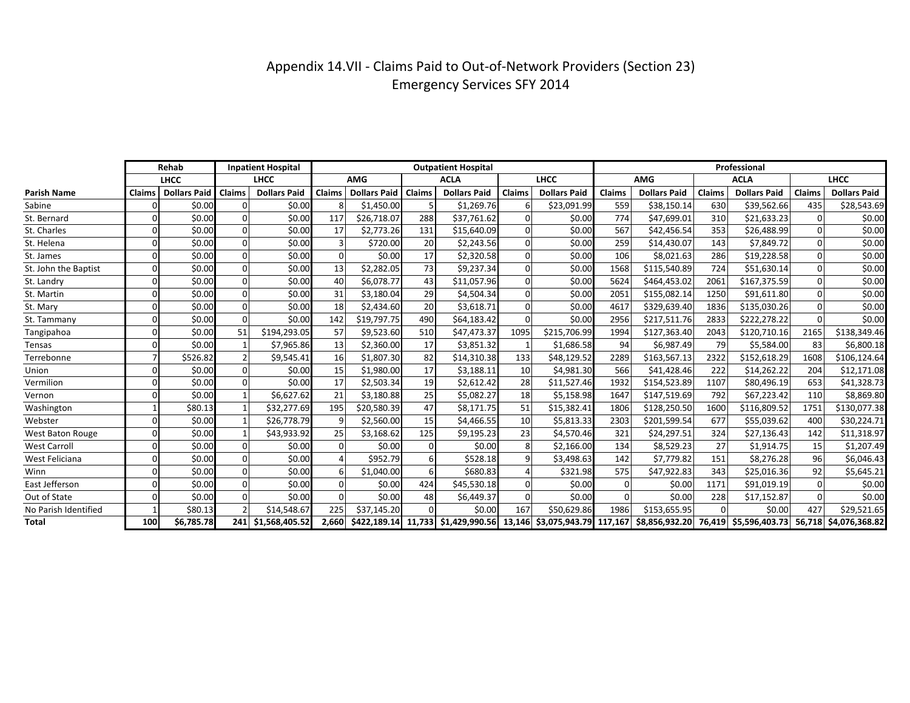## Appendix 14.VII - Claims Paid to Out-of-Network Providers (Section 23) Emergency Services SFY 2014

|                      |        | Rehab               |        | <b>Inpatient Hospital</b> |        |                     |               | <b>Outpatient Hospital</b> |               |                     | Professional |                     |        |                                                                                                                                   |        |                     |
|----------------------|--------|---------------------|--------|---------------------------|--------|---------------------|---------------|----------------------------|---------------|---------------------|--------------|---------------------|--------|-----------------------------------------------------------------------------------------------------------------------------------|--------|---------------------|
|                      |        | <b>LHCC</b>         |        | <b>LHCC</b>               |        | <b>AMG</b>          |               | <b>ACLA</b>                |               | <b>LHCC</b>         |              | <b>AMG</b>          |        | <b>ACLA</b>                                                                                                                       |        | <b>LHCC</b>         |
| <b>Parish Name</b>   | Claims | <b>Dollars Paid</b> | Claims | <b>Dollars Paid</b>       | Claims | <b>Dollars Paid</b> | <b>Claims</b> | <b>Dollars Paid</b>        | <b>Claims</b> | <b>Dollars Paid</b> | Claims       | <b>Dollars Paid</b> | Claims | <b>Dollars Paid</b>                                                                                                               | Claims | <b>Dollars Paid</b> |
| Sabine               |        | \$0.00              |        | \$0.00                    |        | \$1,450.00          |               | \$1,269.76                 |               | \$23,091.99         | 559          | \$38,150.14         | 630    | \$39,562.66                                                                                                                       | 435    | \$28,543.69         |
| St. Bernard          |        | \$0.00              |        | \$0.00                    | 117    | \$26,718.07         | 288           | \$37,761.62                |               | \$0.00              | 774          | \$47,699.01         | 310    | \$21,633.23                                                                                                                       |        | \$0.00              |
| St. Charles          |        | \$0.00              |        | \$0.00                    | 17     | \$2,773.26          | 131           | \$15,640.09                |               | \$0.00              | 567          | \$42,456.54         | 353    | \$26,488.99                                                                                                                       |        | \$0.00              |
| St. Helena           |        | \$0.00              |        | \$0.00                    |        | \$720.00            | 20            | \$2,243.56                 |               | \$0.00              | 259          | \$14,430.07         | 143    | \$7,849.72                                                                                                                        |        | \$0.00              |
| St. James            |        | \$0.00              |        | \$0.00                    | ŋ      | \$0.00              | 17            | \$2,320.58                 |               | \$0.00              | 106          | \$8,021.63          | 286    | \$19,228.58                                                                                                                       |        | \$0.00              |
| St. John the Baptist |        | \$0.00              |        | \$0.00                    | 13     | \$2,282.05          | 73            | \$9,237.34                 |               | \$0.00              | 1568         | \$115,540.89        | 724    | \$51,630.14                                                                                                                       |        | \$0.00              |
| St. Landry           | 0      | \$0.00              |        | \$0.00                    | 40     | \$6,078.77          | 43            | \$11,057.96                |               | \$0.00              | 5624         | \$464,453.02        | 2061   | \$167,375.59                                                                                                                      |        | \$0.00              |
| St. Martin           |        | \$0.00              |        | \$0.00                    | 31     | \$3,180.04          | 29            | \$4,504.34                 |               | \$0.00              | 2051         | \$155,082.14        | 1250   | \$91,611.80                                                                                                                       |        | \$0.00              |
| St. Mary             | U      | \$0.00              |        | \$0.00                    | 18     | \$2,434.60          | 20            | \$3,618.71                 |               | \$0.00              | 4617         | \$329,639.40        | 1836   | \$135,030.26                                                                                                                      |        | \$0.00              |
| St. Tammany          |        | \$0.00              |        | \$0.00                    | 142    | \$19,797.75         | 490           | \$64,183.42                |               | \$0.00              | 2956         | \$217,511.76        | 2833   | \$222,278.22                                                                                                                      |        | \$0.00              |
| Tangipahoa           |        | \$0.00              | 51     | \$194,293.05              | 57     | \$9,523.60          | 510           | \$47,473.37                | 1095          | \$215,706.99        | 1994         | \$127,363.40        | 2043   | \$120,710.16                                                                                                                      | 2165   | \$138,349.46        |
| Tensas               |        | \$0.00              |        | \$7,965.86                | 13     | \$2,360.00          | 17            | \$3,851.32                 |               | \$1,686.58          | 94           | \$6,987.49          | 79     | \$5,584.00                                                                                                                        | 83     | \$6,800.18          |
| Terrebonne           |        | \$526.82            |        | \$9,545.41                | 16     | \$1,807.30          | 82            | \$14,310.38                | 133           | \$48,129.52         | 2289         | \$163,567.13        | 2322   | \$152,618.29                                                                                                                      | 1608   | \$106,124.64        |
| Union                | 0      | \$0.00              |        | \$0.00                    | 15     | \$1,980.00          | 17            | \$3,188.11                 | 10            | \$4,981.30          | 566          | \$41,428.46         | 222    | \$14,262.22                                                                                                                       | 204    | \$12,171.08         |
| Vermilion            |        | \$0.00              |        | \$0.00                    | 17     | \$2,503.34          | 19            | \$2,612.42                 | 28            | \$11,527.46         | 1932         | \$154,523.89        | 1107   | \$80,496.19                                                                                                                       | 653    | \$41,328.73         |
| Vernon               |        | \$0.00              |        | \$6,627.62                | 21     | \$3,180.88          | 25            | \$5,082.27                 | 18            | \$5,158.98          | 1647         | \$147,519.69        | 792    | \$67,223.42                                                                                                                       | 110    | \$8,869.80          |
| Washington           |        | \$80.13             |        | \$32,277.69               | 195    | \$20,580.39         | 47            | \$8,171.75                 | 51            | \$15,382.41         | 1806         | \$128,250.50        | 1600   | \$116,809.52                                                                                                                      | 1751   | \$130,077.38        |
| Webster              | U      | \$0.00              |        | \$26,778.79               |        | \$2,560.00          | 15            | \$4,466.55                 | 10            | \$5,813.33          | 2303         | \$201,599.54        | 677    | \$55,039.62                                                                                                                       | 400    | \$30,224.71         |
| West Baton Rouge     |        | \$0.00              |        | \$43,933.92               | 25     | \$3,168.62          | 125           | \$9,195.23                 | 23            | \$4,570.46          | 321          | \$24,297.51         | 324    | \$27,136.43                                                                                                                       | 142    | \$11,318.97         |
| <b>West Carroll</b>  |        | \$0.00              |        | \$0.00                    |        | \$0.00              | $\Omega$      | \$0.00                     | 8             | \$2,166.00          | 134          | \$8,529.23          | 27     | \$1,914.75                                                                                                                        | 15     | \$1,207.49          |
| West Feliciana       |        | \$0.00              |        | \$0.00                    |        | \$952.79            |               | \$528.18                   |               | \$3,498.63          | 142          | \$7,779.82          | 151    | \$8,276.28                                                                                                                        | 96     | \$6,046.43          |
| Winn                 |        | \$0.00              |        | \$0.00                    | 6      | \$1,040.00          |               | \$680.83                   |               | \$321.98            | 575          | \$47,922.83         | 343    | \$25,016.36                                                                                                                       | 92     | \$5,645.21          |
| East Jefferson       |        | \$0.00              |        | \$0.00                    |        | \$0.00              | 424           | \$45,530.18                |               | \$0.00              | $\Omega$     | \$0.00              | 1171   | \$91,019.19                                                                                                                       |        | \$0.00              |
| Out of State         |        | \$0.00              |        | \$0.00                    |        | \$0.00              | 48            | \$6,449.37                 |               | \$0.00              |              | \$0.00              | 228    | \$17,152.87                                                                                                                       |        | \$0.00              |
| No Parish Identified |        | \$80.13             |        | \$14,548.67               | 225    | \$37,145.20         |               | \$0.00                     | 167           | \$50,629.86         | 1986         | \$153,655.95        |        | \$0.00                                                                                                                            | 427    | \$29,521.65         |
| <b>Total</b>         | 100    | \$6,785.78          |        | 241 \$1,568,405.52        |        |                     |               |                            |               |                     |              |                     |        | 2,660 \$422,189.14 11,733 \$1,429,990.56 13,146 \$3,075,943.79 117,167 \$8,856,932.20 76,419 \$5,596,403.73 56,718 \$4,076,368.82 |        |                     |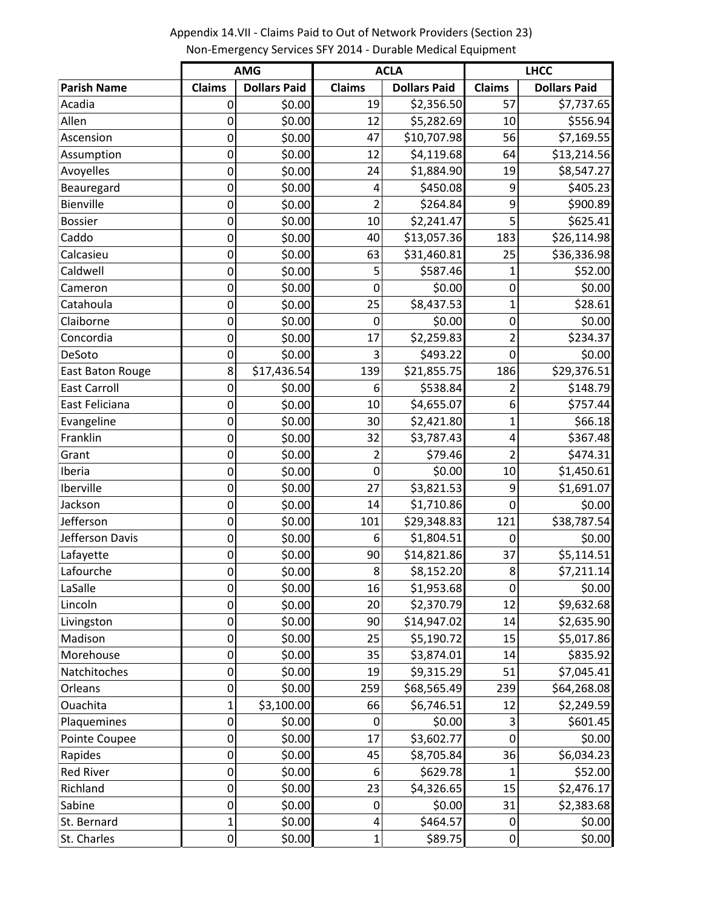**Parish Name Claims Dollars Paid Claims Dollars Paid Claims Dollars Paid** Acadia 0 \$0.00 19 \$2,356.50 57 \$7,737.65 Allen 0 \$0.00 12 \$5,282.69 10 \$556.94 Ascension 0 \$0.00 47 \$10,707.98 56 \$7,169.55 Assumption 0 \$0.00 12 \$4,119.68 64 \$13,214.56 Avoyelles 0 \$0.00 24 \$1,884.90 19 \$8,547.27 Beauregard 0 \$0.00 4 \$450.08 9 \$405.23 Bienville 0 \$0.00 2 \$264.84 9 \$900.89 Bossier **1 6** 0 \$0.00 10 \$2,241.47 5 \$625.41 Caddo 0 \$0.00 40 \$13,057.36 183 \$26,114.98 Calcasieu 0 \$0.00 63 \$31,460.81 25 \$36,336.98 Caldwell 0 \$0.00 5 \$587.46 1 \$52.00 Cameron 0 \$0.00 0 \$0.00 0 \$0.00 Catahoula 0 \$0.00 25 \$8,437.53 1 \$28.61 Claiborne 0 \$0.00 0 \$0.00 0 \$0.00 Concordia 0 \$0.00 17 \$2,259.83 2 \$234.37 DeSoto 0 \$0.00 3 \$493.22 0 \$0.00 East Baton Rouge | 8 | \$17,436.54 139 | \$21,855.75 | 186 | \$29,376.51 East Carroll 0 \$0.00 6 \$538.84 2 \$148.79 East Feliciana  $\begin{array}{|c|c|c|c|c|c|}\n\hline\n& 0 & 50.00 & 10 & 54,655.07 & 6 & 5757.44 \\
\hline\n\end{array}$ Evangeline 0 \$0.00 30 \$2,421.80 1 \$66.18 Franklin 0 \$0.00 32 \$3,787.43 4 \$367.48 Grant 0 \$0.00 2 \$79.46 2 \$474.31 Iberia 0 \$0.00 0 \$0.00 10 \$1,450.61 Iberville 0 \$0.00 27 \$3,821.53 9 \$1,691.07 Jackson 0 \$0.00 14 \$1,710.86 0 \$0.00 Jefferson 0 \$0.00 101 \$29,348.83 121 \$38,787.54  $Jefferson \; Davis$  0  $\;$  0  $\;$  50.00 6  $\;$  51,804.51 0  $\;$  50.00 Lafayette 0 \$0.00 90 \$14,821.86 37 \$5,114.51 Lafourche 0 \$0.00 8 \$8,152.20 8 \$7,211.14 LaSalle 0 \$0.00 16 \$1,953.68 0 \$0.00 Lincoln 0 \$0.00 20 \$2,370.79 12 \$9,632.68 Livingston 0 \$0.00 90 \$14,947.02 14 \$2,635.90 Madison 0 \$0.00 25 \$5,190.72 15 \$5,017.86 Morehouse 0 \$0.00 35 \$3,874.01 14 \$835.92 Natchitoches 0 \$0.00 19 \$9,315.29 51 \$7,045.41 Orleans 0 \$0.00 259 \$68,565.49 239 \$64,268.08 Ouachita 1 \$3,100.00 66 \$6,746.51 12 \$2,249.59 Plaquemines **0** 0 \$0.00 0 \$0.00 3 \$601.45 Pointe Coupee 0 \$0.00 17 \$3,602.77 0 \$0.00 Rapides 0 \$0.00 45 \$8,705.84 36 \$6,034.23 Red River 0 \$0.00 6 \$629.78 1 \$52.00 Richland 1 0 9 \$0.00 23 \$4,326.65 15 \$2,476.17 Sabine 0 \$0.00 0 \$0.00 31 \$2,383.68 St. Bernard **1** 1 \$0.00 4 \$464.57 0 \$0.00 St. Charles 0 \$0.00 1 \$89.75 0 \$0.00 **AMG ACLA LHCC**

Appendix 14.VII - Claims Paid to Out of Network Providers (Section 23) Non-Emergency Services SFY 2014 - Durable Medical Equipment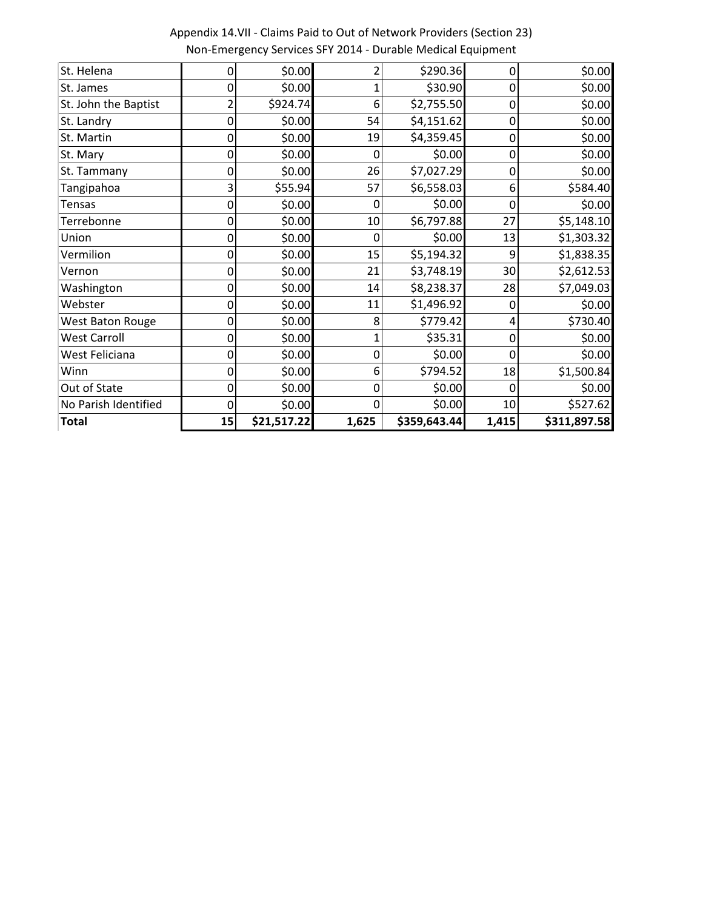| St. Helena           | 0  | \$0.00      |       | \$290.36     | 0     | \$0.00       |
|----------------------|----|-------------|-------|--------------|-------|--------------|
| St. James            | 0  | \$0.00      |       | \$30.90      | 0     | \$0.00       |
| St. John the Baptist |    | \$924.74    | 6     | \$2,755.50   | 0     | \$0.00       |
| St. Landry           | 0  | \$0.00      | 54    | \$4,151.62   | 0     | \$0.00       |
| St. Martin           | 0  | \$0.00      | 19    | \$4,359.45   | 0     | \$0.00       |
| St. Mary             |    | \$0.00      | ი     | \$0.00       | 0     | \$0.00       |
| St. Tammany          | ი  | \$0.00      | 26    | \$7,027.29   | 0     | \$0.00       |
| Tangipahoa           | 3  | \$55.94     | 57    | \$6,558.03   | 6     | \$584.40     |
| Tensas               | 0  | \$0.00      | 0     | \$0.00       | 0     | \$0.00       |
| Terrebonne           | 0  | \$0.00      | 10    | \$6,797.88   | 27    | \$5,148.10   |
| Union                | 0  | \$0.00      | 0     | \$0.00       | 13    | \$1,303.32   |
| Vermilion            | 0  | \$0.00      | 15    | \$5,194.32   | ٩     | \$1,838.35   |
| Vernon               | 0  | \$0.00      | 21    | \$3,748.19   | 30    | \$2,612.53   |
| Washington           | 0  | \$0.00      | 14    | \$8,238.37   | 28    | \$7,049.03   |
| Webster              |    | \$0.00      | 11    | \$1,496.92   | 0     | \$0.00       |
| West Baton Rouge     |    | \$0.00      | 8     | \$779.42     | 4     | \$730.40     |
| <b>West Carroll</b>  | 0  | \$0.00      |       | \$35.31      | 0     | \$0.00       |
| West Feliciana       | 0  | \$0.00      | 0     | \$0.00       | 0     | \$0.00       |
| Winn                 |    | \$0.00      | 6     | \$794.52     | 18    | \$1,500.84   |
| Out of State         | 0  | \$0.00      | 0     | \$0.00       | 0     | \$0.00       |
| No Parish Identified | 0  | \$0.00      |       | \$0.00       | 10    | \$527.62     |
| <b>Total</b>         | 15 | \$21,517.22 | 1,625 | \$359,643.44 | 1,415 | \$311,897.58 |

Appendix 14.VII - Claims Paid to Out of Network Providers (Section 23) Non-Emergency Services SFY 2014 - Durable Medical Equipment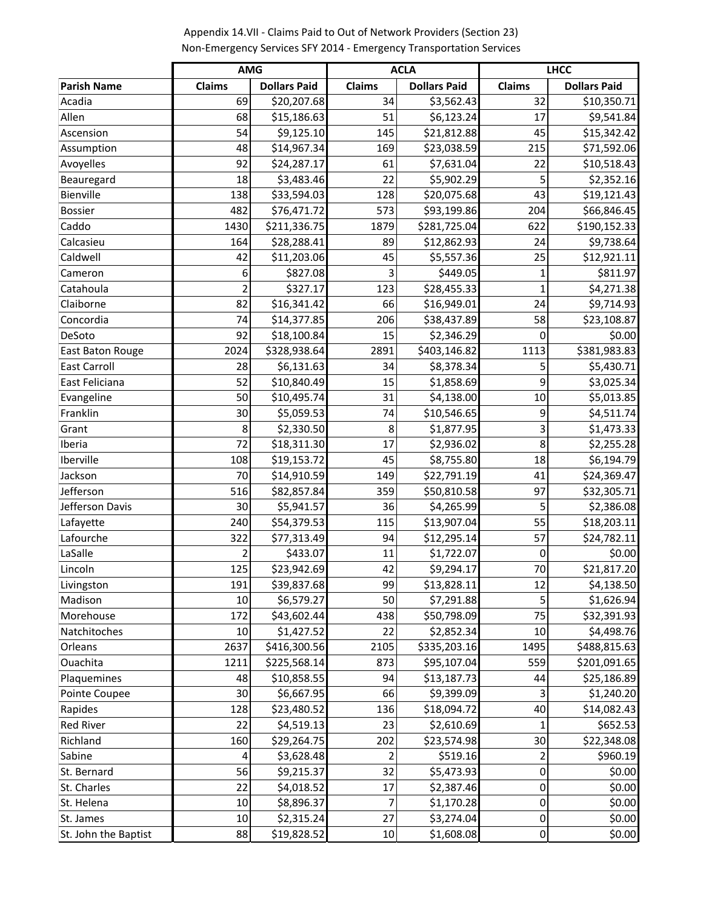|                      | <b>AMG</b>     |                     | <b>ACLA</b>   |                     |              | <b>LHCC</b>         |
|----------------------|----------------|---------------------|---------------|---------------------|--------------|---------------------|
| <b>Parish Name</b>   | Claims         | <b>Dollars Paid</b> | <b>Claims</b> | <b>Dollars Paid</b> | Claims       | <b>Dollars Paid</b> |
| Acadia               | 69             | \$20,207.68         | 34            | \$3,562.43          | 32           | \$10,350.71         |
| Allen                | 68             | \$15,186.63         | 51            | \$6,123.24          | 17           | \$9,541.84          |
| Ascension            | 54             | \$9,125.10          | 145           | \$21,812.88         | 45           | \$15,342.42         |
| Assumption           | 48             | \$14,967.34         | 169           | \$23,038.59         | 215          | \$71,592.06         |
| Avoyelles            | 92             | \$24,287.17         | 61            | \$7,631.04          | 22           | \$10,518.43         |
| Beauregard           | 18             | \$3,483.46          | 22            | \$5,902.29          | 5            | \$2,352.16          |
| Bienville            | 138            | \$33,594.03         | 128           | \$20,075.68         | 43           | \$19,121.43         |
| <b>Bossier</b>       | 482            | \$76,471.72         | 573           | \$93,199.86         | 204          | \$66,846.45         |
| Caddo                | 1430           | \$211,336.75        | 1879          | \$281,725.04        | 622          | \$190,152.33        |
| Calcasieu            | 164            | \$28,288.41         | 89            | \$12,862.93         | 24           | \$9,738.64          |
| Caldwell             | 42             | \$11,203.06         | 45            | \$5,557.36          | 25           | \$12,921.11         |
| Cameron              | 6              | \$827.08            | 3             | \$449.05            | 1            | \$811.97            |
| Catahoula            | $\overline{2}$ | \$327.17            | 123           | \$28,455.33         | $\mathbf{1}$ | \$4,271.38          |
| Claiborne            | 82             | \$16,341.42         | 66            | \$16,949.01         | 24           | \$9,714.93          |
| Concordia            | 74             | \$14,377.85         | 206           | \$38,437.89         | 58           | \$23,108.87         |
| DeSoto               | 92             | \$18,100.84         | 15            | \$2,346.29          | 0            | \$0.00              |
| East Baton Rouge     | 2024           | \$328,938.64        | 2891          | \$403,146.82        | 1113         | \$381,983.83        |
| <b>East Carroll</b>  | 28             | \$6,131.63          | 34            | \$8,378.34          | 5            | \$5,430.71          |
| East Feliciana       | 52             | \$10,840.49         | 15            | \$1,858.69          | 9            | \$3,025.34          |
| Evangeline           | 50             | \$10,495.74         | 31            | \$4,138.00          | 10           | \$5,013.85          |
| Franklin             | 30             | \$5,059.53          | 74            | \$10,546.65         | 9            | \$4,511.74          |
| Grant                | 8              | \$2,330.50          | 8             | \$1,877.95          | 3            | \$1,473.33          |
| Iberia               | 72             | \$18,311.30         | 17            | \$2,936.02          | 8            | \$2,255.28          |
| Iberville            | 108            | \$19,153.72         | 45            | \$8,755.80          | 18           | \$6,194.79          |
| Jackson              | 70             | \$14,910.59         | 149           | \$22,791.19         | 41           | \$24,369.47         |
| Jefferson            | 516            | \$82,857.84         | 359           | \$50,810.58         | 97           | \$32,305.71         |
| Jefferson Davis      | 30             | \$5,941.57          | 36            | \$4,265.99          | 5            | \$2,386.08          |
| Lafayette            | 240            | \$54,379.53         | 115           | \$13,907.04         | 55           | \$18,203.11         |
| Lafourche            | 322            | \$77,313.49         | 94            | \$12,295.14         | 57           | \$24,782.11         |
| LaSalle              | $\overline{2}$ | \$433.07            | 11            | \$1,722.07          | 0            | \$0.00              |
| Lincoln              | 125            | \$23,942.69         | 42            | \$9,294.17          | 70           | \$21,817.20         |
| Livingston           | 191            | \$39,837.68         | 99            | \$13,828.11         | 12           | \$4,138.50          |
| Madison              | 10             | \$6,579.27          | 50            | \$7,291.88          | 5            | \$1,626.94          |
| Morehouse            | 172            | \$43,602.44         | 438           | \$50,798.09         | 75           | \$32,391.93         |
| Natchitoches         | 10             | \$1,427.52          | 22            | \$2,852.34          | 10           | \$4,498.76          |
| Orleans              | 2637           | \$416,300.56        | 2105          | \$335,203.16        | 1495         | \$488,815.63        |
| Ouachita             | 1211           | \$225,568.14        | 873           | \$95,107.04         | 559          | \$201,091.65        |
| Plaquemines          | 48             | \$10,858.55         | 94            | \$13,187.73         | 44           | \$25,186.89         |
| Pointe Coupee        | 30             | \$6,667.95          | 66            | \$9,399.09          | 3            | \$1,240.20          |
| Rapides              | 128            | \$23,480.52         | 136           | \$18,094.72         | 40           | \$14,082.43         |
| Red River            | 22             | \$4,519.13          | 23            | \$2,610.69          | 1            | \$652.53            |
| Richland             | 160            | \$29,264.75         | 202           | \$23,574.98         | 30           | \$22,348.08         |
| Sabine               | 4              | \$3,628.48          | 2             | \$519.16            | 2            | \$960.19            |
| St. Bernard          | 56             | \$9,215.37          | 32            | \$5,473.93          | 0            | \$0.00              |
| St. Charles          | 22             | \$4,018.52          | 17            | \$2,387.46          | 0            | \$0.00              |
| St. Helena           | 10             | \$8,896.37          | 7             | \$1,170.28          | 0            | \$0.00              |
| St. James            | $10\,$         | \$2,315.24          | 27            | \$3,274.04          | 0            | \$0.00              |
| St. John the Baptist | 88             | \$19,828.52         | 10            | \$1,608.08          | 0            | \$0.00              |

Appendix 14.VII - Claims Paid to Out of Network Providers (Section 23) Non-Emergency Services SFY 2014 - Emergency Transportation Services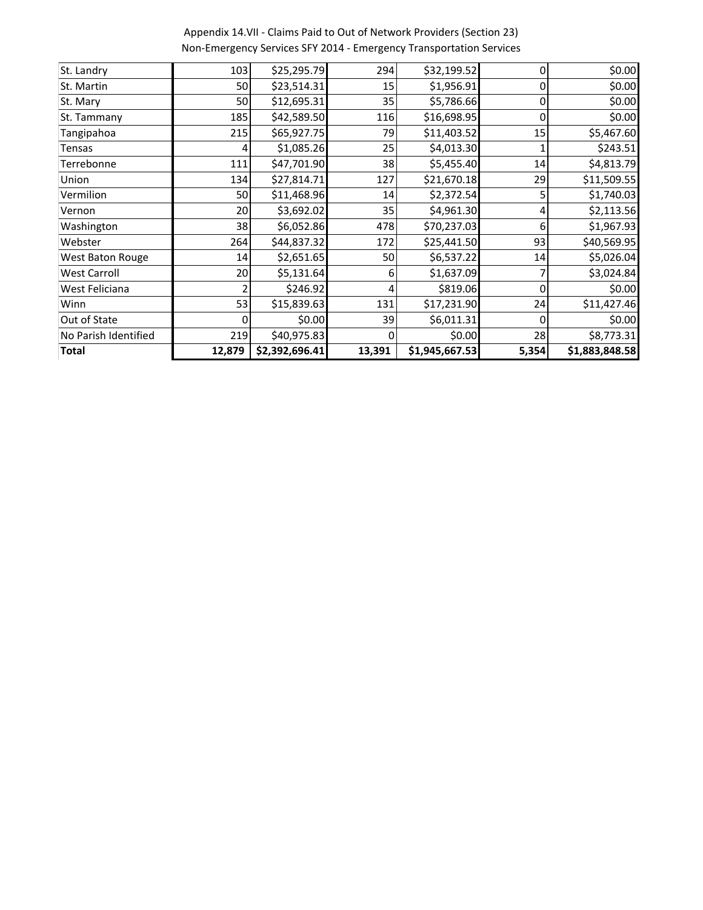| Total                | 12,879          | \$2,392,696.41 | 13,391 | \$1,945,667.53 | 5,354 | \$1,883,848.58 |
|----------------------|-----------------|----------------|--------|----------------|-------|----------------|
| No Parish Identified | 219             | \$40,975.83    |        | \$0.00         | 28    | \$8,773.31     |
| Out of State         | 0               | \$0.00         | 39     | \$6,011.31     | 0     | \$0.00         |
| Winn                 | 53              | \$15,839.63    | 131    | \$17,231.90    | 24    | \$11,427.46    |
| West Feliciana       | 2               | \$246.92       | 4      | \$819.06       | 0     | \$0.00         |
| <b>West Carroll</b>  | 20              | \$5,131.64     | 6      | \$1,637.09     |       | \$3,024.84     |
| West Baton Rouge     | 14              | \$2,651.65     | 50     | \$6,537.22     | 14    | \$5,026.04     |
| Webster              | 264             | \$44,837.32    | 172    | \$25,441.50    | 93    | \$40,569.95    |
| Washington           | 38              | \$6,052.86     | 478    | \$70,237.03    | 6     | \$1,967.93     |
| Vernon               | 20 <sup>1</sup> | \$3,692.02     | 35     | \$4,961.30     | 4     | \$2,113.56     |
| Vermilion            | 50              | \$11,468.96    | 14     | \$2,372.54     | 5     | \$1,740.03     |
| Union                | 134             | \$27,814.71    | 127    | \$21,670.18    | 29    | \$11,509.55    |
| Terrebonne           | 111             | \$47,701.90    | 38     | \$5,455.40     | 14    | \$4,813.79     |
| <b>Tensas</b>        | $\overline{4}$  | \$1,085.26     | 25     | \$4,013.30     |       | \$243.51       |
| Tangipahoa           | 215             | \$65,927.75    | 79     | \$11,403.52    | 15    | \$5,467.60     |
| St. Tammany          | 185             | \$42,589.50    | 116    | \$16,698.95    | 0     | \$0.00         |
| St. Mary             | 50              | \$12,695.31    | 35     | \$5,786.66     | 0     | \$0.00         |
| St. Martin           | 50              | \$23,514.31    | 15     | \$1,956.91     | 0     | \$0.00         |
| St. Landry           | 103             | \$25,295.79    | 294    | \$32,199.52    | 0     | \$0.00         |

Appendix 14.VII - Claims Paid to Out of Network Providers (Section 23) Non-Emergency Services SFY 2014 - Emergency Transportation Services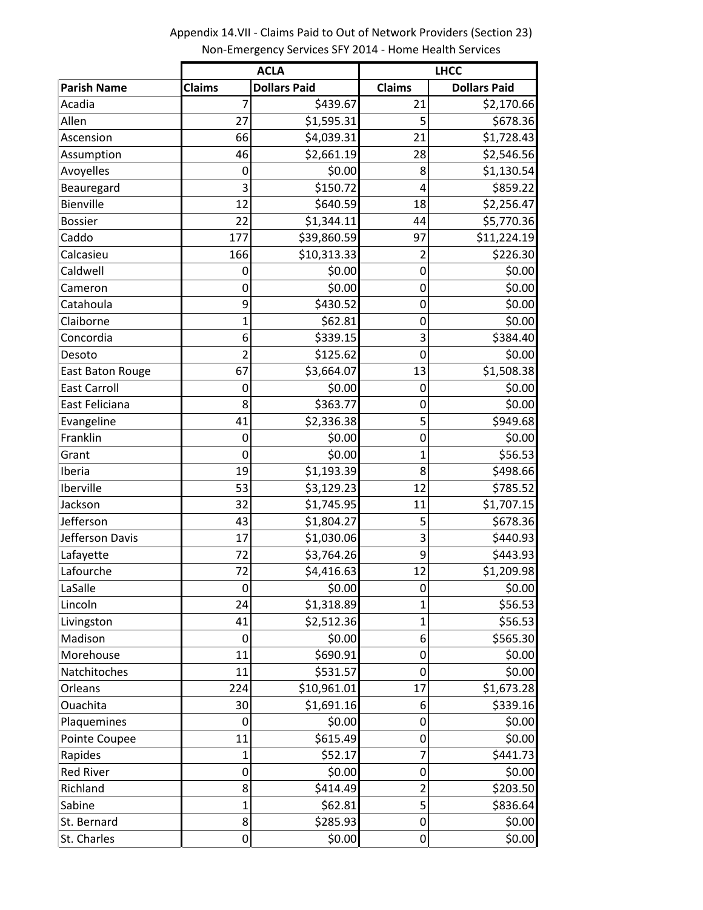|                     |                | <b>ACLA</b>         | <b>LHCC</b>    |                     |  |  |
|---------------------|----------------|---------------------|----------------|---------------------|--|--|
| <b>Parish Name</b>  | <b>Claims</b>  | <b>Dollars Paid</b> | <b>Claims</b>  | <b>Dollars Paid</b> |  |  |
| Acadia              | 7              | \$439.67            | 21             | \$2,170.66          |  |  |
| Allen               | 27             | \$1,595.31          | 5              | \$678.36            |  |  |
| Ascension           | 66             | \$4,039.31          | 21             | \$1,728.43          |  |  |
| Assumption          | 46             | \$2,661.19          | 28             | \$2,546.56          |  |  |
| Avoyelles           | $\mathbf 0$    | \$0.00              | 8              | \$1,130.54          |  |  |
| Beauregard          | 3              | \$150.72            | 4              | \$859.22            |  |  |
| Bienville           | 12             | \$640.59            | 18             | \$2,256.47          |  |  |
| <b>Bossier</b>      | 22             | \$1,344.11          | 44             | \$5,770.36          |  |  |
| Caddo               | 177            | \$39,860.59         | 97             | \$11,224.19         |  |  |
| Calcasieu           | 166            | \$10,313.33         | 2              | \$226.30            |  |  |
| Caldwell            | 0              | \$0.00              | 0              | \$0.00              |  |  |
| Cameron             | 0              | \$0.00              | $\mathbf 0$    | \$0.00              |  |  |
| Catahoula           | 9              | \$430.52            | 0              | \$0.00              |  |  |
| Claiborne           | $\overline{1}$ | \$62.81             | 0              | \$0.00              |  |  |
| Concordia           | 6              | \$339.15            | 3              | \$384.40            |  |  |
| Desoto              | $\overline{2}$ | \$125.62            | $\mathbf 0$    | \$0.00              |  |  |
| East Baton Rouge    | 67             | \$3,664.07          | 13             | \$1,508.38          |  |  |
| <b>East Carroll</b> | 0              | \$0.00              | 0              | \$0.00              |  |  |
| East Feliciana      | 8              | \$363.77            | 0              | \$0.00              |  |  |
| Evangeline          | 41             | \$2,336.38          | 5              | \$949.68            |  |  |
| Franklin            | $\mathbf 0$    | \$0.00              | $\mathbf 0$    | \$0.00              |  |  |
| Grant               | $\mathbf 0$    | \$0.00              | $\overline{1}$ | \$56.53             |  |  |
| Iberia              | 19             | \$1,193.39          | 8              | \$498.66            |  |  |
| Iberville           | 53             | \$3,129.23          | 12             | \$785.52            |  |  |
| Jackson             | 32             | \$1,745.95          | 11             | \$1,707.15          |  |  |
| Jefferson           | 43             | \$1,804.27          | 5              | \$678.36            |  |  |
| Jefferson Davis     | 17             | \$1,030.06          | 3              | \$440.93            |  |  |
| Lafayette           | 72             | \$3,764.26          | 9              | \$443.93            |  |  |
| Lafourche           | 72             | \$4,416.63          | 12             | \$1,209.98          |  |  |
| LaSalle             | $\mathbf 0$    | \$0.00              | 0              | \$0.00              |  |  |
| Lincoln             | 24             | \$1,318.89          | $\mathbf{1}$   | \$56.53             |  |  |
| Livingston          | 41             | \$2,512.36          | 1              | \$56.53             |  |  |
| Madison             | 0              | \$0.00              | 6              | \$565.30            |  |  |
| Morehouse           | 11             | \$690.91            | $\mathbf 0$    | \$0.00              |  |  |
| Natchitoches        | 11             | \$531.57            | 0              | \$0.00              |  |  |
| Orleans             | 224            | \$10,961.01         | 17             | \$1,673.28          |  |  |
| Ouachita            | 30             | \$1,691.16          | 6              | \$339.16            |  |  |
| Plaquemines         | $\mathbf 0$    | \$0.00              | $\mathbf 0$    | \$0.00              |  |  |
| Pointe Coupee       | 11             | \$615.49            | $\mathbf 0$    | \$0.00              |  |  |
| Rapides             | $\mathbf{1}$   | \$52.17             | 7              | \$441.73            |  |  |
| <b>Red River</b>    | 0              | \$0.00              | 0              | \$0.00              |  |  |
| Richland            | 8              | \$414.49            | 2              | \$203.50            |  |  |
| Sabine              | $\mathbf{1}$   | \$62.81             | 5              | \$836.64            |  |  |
| St. Bernard         | 8              | \$285.93            | $\mathbf 0$    | \$0.00              |  |  |
| St. Charles         | 0              | \$0.00              | $\mathbf 0$    | \$0.00              |  |  |

Appendix 14.VII - Claims Paid to Out of Network Providers (Section 23) Non-Emergency Services SFY 2014 - Home Health Services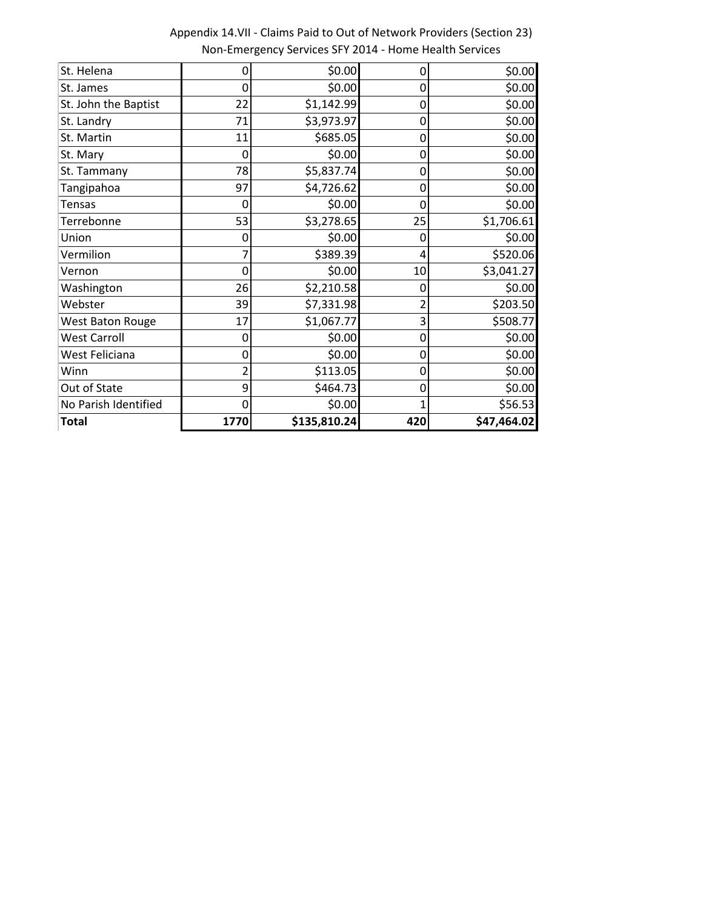| <b>Total</b>         | 1770 | \$135,810.24 | 420            | \$47,464.02 |
|----------------------|------|--------------|----------------|-------------|
| No Parish Identified | 0    | \$0.00       | $\overline{1}$ | \$56.53     |
| Out of State         | 9    | \$464.73     | 0              | \$0.00      |
| Winn                 |      | \$113.05     | 0              | \$0.00      |
| West Feliciana       | 0    | \$0.00       | 0              | \$0.00      |
| <b>West Carroll</b>  | 0    | \$0.00       | 0              | \$0.00      |
| West Baton Rouge     | 17   | \$1,067.77   | 3              | \$508.77    |
| Webster              | 39   | \$7,331.98   | 2              | \$203.50    |
| Washington           | 26   | \$2,210.58   | 0              | \$0.00      |
| Vernon               | O    | \$0.00       | 10             | \$3,041.27  |
| Vermilion            |      | \$389.39     | 4              | \$520.06    |
| Union                | 0    | \$0.00       | 0              | \$0.00      |
| Terrebonne           | 53   | \$3,278.65   | 25             | \$1,706.61  |
| <b>Tensas</b>        | 0    | \$0.00       | 0              | \$0.00      |
| Tangipahoa           | 97   | \$4,726.62   | 0              | \$0.00      |
| St. Tammany          | 78   | \$5,837.74   | 0              | \$0.00      |
| St. Mary             | 0    | \$0.00       | 0              | \$0.00      |
| St. Martin           | 11   | \$685.05     | 0              | \$0.00      |
| St. Landry           | 71   | \$3,973.97   | 0              | \$0.00      |
| St. John the Baptist | 22   | \$1,142.99   | 0              | \$0.00      |
| St. James            | 0    | \$0.00       | 0              | \$0.00      |
| St. Helena           | 0    | \$0.00       | 0              | \$0.00      |

Appendix 14.VII - Claims Paid to Out of Network Providers (Section 23) Non-Emergency Services SFY 2014 - Home Health Services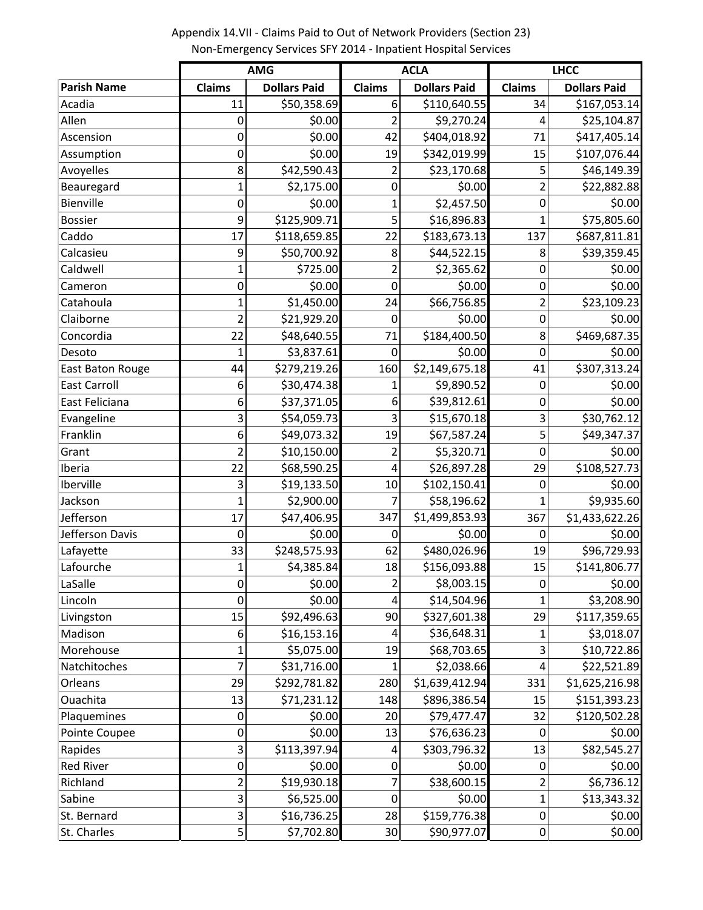**Parish Name Claims Dollars Paid Claims Dollars Paid Claims Dollars Paid** Acadia 11 \$50,358.69 6 \$110,640.55 34 \$167,053.14 Allen 0 \$0.00 2 \$9,270.24 4 \$25,104.87 Ascension 0 \$0.00 42| \$404,018.92**|** 71| \$417,405.14 Assumption 0| \$0.00 19| \$342,019.99| 15| \$107,076.44 Avoyelles 8 \$42,590.43 2 \$23,170.68 5 \$46,149.39 Beauregard 1 1 \$2,175.00 0 \$0.00 2 \$22,882.88 Bienville 0 \$0.00 1 \$2,457.50 0 \$0.00 Bossier 9 \$125,909.71 \$16,896.83 1 \$75,805.60 Caddo 17 \$118,659.85 22 \$183,673.13 137 \$687,811.81 Calcasieu 9 \$50,700.92 8 \$44,522.15 8 \$39,359.45 Caldwell 1| \$725.00 2| \$2,365.62 0| \$0.00 Cameron 0 \$0.00 0 \$0.00 0 \$0.00 Catahoula 1 \$1,450.00 24 \$66,756.85 2 \$23,109.23 Claiborne 2 \$21,929.20 0 \$0.00 0 \$0.00 Concordia 22 \$48,640.55 71 \$184,400.50 8 \$469,687.35 Desoto 1 \$3,837.61 0 \$0.00 0 \$0.00 East Baton Rouge | 44 \$279,219.26 160 \$2,149,675.18 41 \$307,313.24 East Carroll **East Carroll** 6 530,474.38 1 \$9,890.52 0 \$0.00 East Feliciana 6 \$37,371.05 6 \$39,812.61 0 \$0.00 Evangeline 1 3 3 \$54,059.73 3 \$15,670.18 3 \$30,762.12 Franklin 6 \$49,073.32 19 \$67,587.24 5 \$49,347.37 Grant 2 \$10,150.00 2 \$5,320.71 0 \$0.00 Iberia 22 \$68,590.25 4 \$26,897.28 29 \$108,527.73 Iberville 3 \$19,133.50 10 \$102,150.41 0 \$0.00 Jackson 1| \$2,900.00 7| \$58,196.62 1| \$9,935.60 Jefferson 17 \$47,406.95 347 \$1,499,853.93 367 \$1,433,622.26 Jefferson Davis 0 \$0.00 0 \$0.00 0 \$0.00 Lafayette 33 \$248,575.93 62 \$480,026.96 19 \$96,729.93 Lafourche 1 \$4,385.84 18 \$156,093.88 15 \$141,806.77 LaSalle 0 \$0.00 2 \$8,003.15 0 \$0.00 Lincoln 0 \$0.00 4 \$14,504.96 1 \$3,208.90 Livingston 15 \$92,496.63 90 \$327,601.38 29 \$117,359.65 Madison 6 \$16,153.16 4 \$36,648.31 1 \$3,018.07 Morehouse 1 \$5,075.00 19 \$68,703.65 3 \$10,722.86 Natchitoches 7| \$31,716.00 1| \$2,038.66 4| \$22,521.89 Orleans 29 \$292,781.82 280 \$1,639,412.94 331 \$1,625,216.98 Ouachita 13 \$71,231.12 148 \$896,386.54 15 \$151,393.23 Plaquemines 1 0 0 \$0.00 20 \$79,477.47 32 \$120,502.28 Pointe Coupee **0** 0 \$0.00 13 \$76,636.23 0 \$0.00 Rapides 13 3 \$113,397.94 4 \$303,796.32 13 \$82,545.27 Red River 0 \$0.00 0 \$0.00 0 \$0.00 Richland 1 2 \$19,930.18 7 \$38,600.15 2 \$6,736.12 Sabine 3 \$6,525.00 0 \$0.00 1 \$13,343.32 St. Bernard **1** 3 3 \$16,736.25 28 \$159,776.38 0 \$0.00 **AMG ACLA LHCC**

St. Charles 5| \$7,702.80 30| \$90,977.07| 0| \$0.00

Appendix 14.VII - Claims Paid to Out of Network Providers (Section 23) Non-Emergency Services SFY 2014 - Inpatient Hospital Services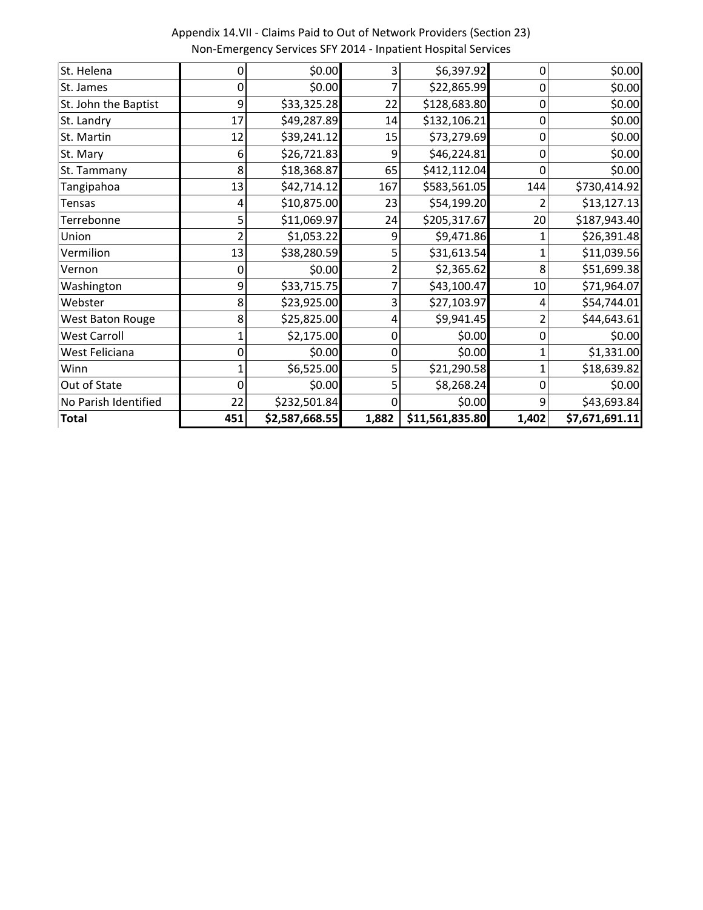| <b>Total</b>         | 451 | \$2,587,668.55 | 1,882 | \$11,561,835.80 | 1,402 | \$7,671,691.11 |
|----------------------|-----|----------------|-------|-----------------|-------|----------------|
| No Parish Identified | 22  | \$232,501.84   |       | \$0.00          | 9     | \$43,693.84    |
| Out of State         |     | \$0.00         |       | \$8,268.24      | ი     | \$0.00         |
| Winn                 |     | \$6,525.00     |       | \$21,290.58     |       | \$18,639.82    |
| West Feliciana       |     | \$0.00         | 0     | \$0.00          |       | \$1,331.00     |
| West Carroll         |     | \$2,175.00     | 0     | \$0.00          | ი     | \$0.00         |
| West Baton Rouge     | 8   | \$25,825.00    | 4     | \$9,941.45      |       | \$44,643.61    |
| Webster              |     | \$23,925.00    | 3     | \$27,103.97     |       | \$54,744.01    |
| Washington           | 9   | \$33,715.75    |       | \$43,100.47     | 10    | \$71,964.07    |
| Vernon               |     | \$0.00         |       | \$2,365.62      | 8     | \$51,699.38    |
| Vermilion            | 13  | \$38,280.59    |       | \$31,613.54     |       | \$11,039.56    |
| Union                |     | \$1,053.22     | 9     | \$9,471.86      |       | \$26,391.48    |
| Terrebonne           |     | \$11,069.97    | 24    | \$205,317.67    | 20    | \$187,943.40   |
| <b>Tensas</b>        |     | \$10,875.00    | 23    | \$54,199.20     |       | \$13,127.13    |
| Tangipahoa           | 13  | \$42,714.12    | 167   | \$583,561.05    | 144   | \$730,414.92   |
| St. Tammany          | 8   | \$18,368.87    | 65    | \$412,112.04    | ი     | \$0.00         |
| St. Mary             | 6   | \$26,721.83    | ٩     | \$46,224.81     | 0     | \$0.00         |
| St. Martin           | 12  | \$39,241.12    | 15    | \$73,279.69     | 0     | \$0.00         |
| St. Landry           | 17  | \$49,287.89    | 14    | \$132,106.21    | 0     | \$0.00         |
| St. John the Baptist | 9   | \$33,325.28    | 22    | \$128,683.80    | 0     | \$0.00         |
| St. James            |     | \$0.00         |       | \$22,865.99     | 0     | \$0.00         |
| St. Helena           |     | \$0.00         | 3     | \$6,397.92      | 0     | \$0.00         |

Appendix 14.VII - Claims Paid to Out of Network Providers (Section 23) Non-Emergency Services SFY 2014 - Inpatient Hospital Services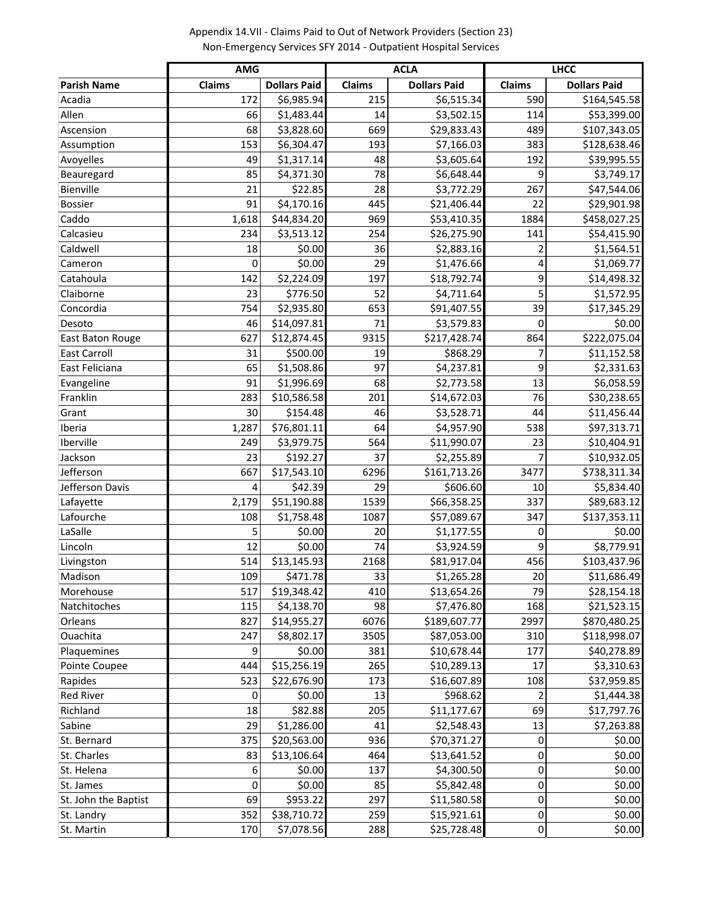|                      | <b>AMG</b> |                     |        | <b>ACLA</b>         |           | <b>LHCC</b>         |
|----------------------|------------|---------------------|--------|---------------------|-----------|---------------------|
| <b>Parish Name</b>   | Claims     | <b>Dollars Paid</b> | Claims | <b>Dollars Paid</b> | Claims    | <b>Dollars Paid</b> |
| Acadia               | 172        | \$6,985.94          | 215    | \$6,515.34          | 590       | \$164,545.58        |
| Allen                | 66         | \$1,483.44          | 14     | \$3,502.15          | 114       | \$53,399.00         |
| Ascension            | 68         | \$3,828.60          | 669    | \$29,833.43         | 489       | \$107,343.05        |
| Assumption           | 153        | \$6,304.47          | 193    | \$7,166.03          | 383       | \$128,638.46        |
| Avoyelles            | 49         | \$1,317.14          | 48     | \$3,605.64          | 192       | \$39,995.55         |
| Beauregard           | 85         | \$4,371.30          | 78     | \$6,648.44          | 9         | \$3,749.17          |
| Bienville            | 21         | \$22.85             | 28     | \$3,772.29          | 267       | \$47,544.06         |
| <b>Bossier</b>       | 91         | \$4,170.16          | 445    | \$21,406.44         | 22        | \$29,901.98         |
| Caddo                | 1,618      | \$44,834.20         | 969    | \$53,410.35         | 1884      | \$458,027.25        |
| Calcasieu            | 234        | \$3,513.12          | 254    | \$26,275.90         | 141       | \$54,415.90         |
| Caldwell             | 18         | \$0.00              | 36     | \$2,883.16          |           | \$1,564.51          |
| Cameron              | 0          | \$0.00              | 29     | \$1,476.66          | 4         | \$1,069.77          |
| Catahoula            | 142        | \$2,224.09          | 197    | \$18,792.74         | 9         | \$14,498.32         |
| Claiborne            | 23         | \$776.50            | 52     | \$4,711.64          | 5         | \$1,572.95          |
| Concordia            | 754        | \$2,935.80          | 653    | \$91,407.55         | 39        | \$17,345.29         |
| Desoto               | 46         | \$14,097.81         | 71     | \$3,579.83          | $\Omega$  | \$0.00              |
| East Baton Rouge     | 627        | \$12,874.45         | 9315   | \$217,428.74        | 864       | \$222,075.04        |
| <b>East Carroll</b>  | 31         | \$500.00            | 19     | \$868.29            | 7         | \$11,152.58         |
| East Feliciana       | 65         | \$1,508.86          | 97     | \$4,237.81          | 9         | \$2,331.63          |
| Evangeline           | 91         | \$1,996.69          | 68     | \$2,773.58          | 13        | \$6,058.59          |
| Franklin             | 283        | \$10,586.58         | 201    | \$14,672.03         | 76        | \$30,238.65         |
| Grant                | 30         | \$154.48            | 46     | \$3,528.71          | 44        | \$11,456.44         |
| Iberia               | 1,287      | \$76,801.11         | 64     | \$4,957.90          | 538       | \$97,313.71         |
| Iberville            | 249        | \$3,979.75          | 564    | \$11,990.07         | 23        | \$10,404.91         |
| Jackson              | 23         | \$192.27            | 37     | \$2,255.89          | 7         | \$10,932.05         |
| Jefferson            | 667        | \$17,543.10         | 6296   | \$161,713.26        | 3477      | \$738,311.34        |
| Jefferson Davis      | 4          | \$42.39             | 29     | \$606.60            | 10        | \$5,834.40          |
| Lafayette            | 2,179      | \$51,190.88         | 1539   | \$66,358.25         | 337       | \$89,683.12         |
| Lafourche            | 108        | \$1,758.48          | 1087   | \$57,089.67         | 347       | \$137,353.11        |
| LaSalle              | 5          | \$0.00              | 20     | \$1,177.55          | 0         | \$0.00              |
| Lincoln              | 12         | \$0.00              | 74     | \$3,924.59          | 9         | \$8,779.91          |
| Livingston           | 514        | \$13,145.93         | 2168   | \$81,917.04         | 456       | \$103,437.96        |
| Madison              | 109        | \$471.78            | 33     | \$1,265.28          | 20        | \$11,686.49         |
| Morehouse            | 517        | \$19,348.42         | 410    | \$13,654.26         | 79        | \$28,154.18         |
| Natchitoches         | 115        | \$4,138.70          | 98     | \$7,476.80          | 168       | \$21,523.15         |
| Orleans              | 827        | \$14,955.27         | 6076   | \$189,607.77        | 2997      | \$870,480.25        |
| Ouachita             | 247        | \$8,802.17          | 3505   | \$87,053.00         | 310       | \$118,998.07        |
| Plaquemines          | 9          | \$0.00              | 381    | \$10,678.44         | 177       | \$40,278.89         |
| Pointe Coupee        | 444        | \$15,256.19         | 265    | \$10,289.13         | 17        | \$3,310.63          |
| Rapides              | 523        | \$22,676.90         | 173    | \$16,607.89         | 108       | \$37,959.85         |
| <b>Red River</b>     | 0          | \$0.00              | 13     | \$968.62            |           | \$1,444.38          |
| Richland             | 18         | \$82.88             | 205    | \$11,177.67         | 69        | \$17,797.76         |
| Sabine               | 29         | \$1,286.00          | 41     | \$2,548.43          | 13        | \$7,263.88          |
| St. Bernard          | 375        | \$20,563.00         | 936    | \$70,371.27         | 0         | \$0.00              |
| St. Charles          | 83         | \$13,106.64         | 464    | \$13,641.52         | 0         | \$0.00              |
| St. Helena           | 6          | \$0.00              | 137    | \$4,300.50          | 0         | \$0.00              |
| St. James            | $\Omega$   | \$0.00              | 85     | \$5,842.48          | 0         | \$0.00              |
| St. John the Baptist | 69         | \$953.22            | 297    | \$11,580.58         | 0         | \$0.00              |
| St. Landry           | 352        | \$38,710.72         | 259    | \$15,921.61         | $\pmb{0}$ | \$0.00              |

St. Martin 170 \$7,078.56 288 \$25,728.48 0 \$0.00

Appendix 14.VII - Claims Paid to Out of Network Providers (Section 23) Non-Emergency Services SFY 2014 - Outpatient Hospital Services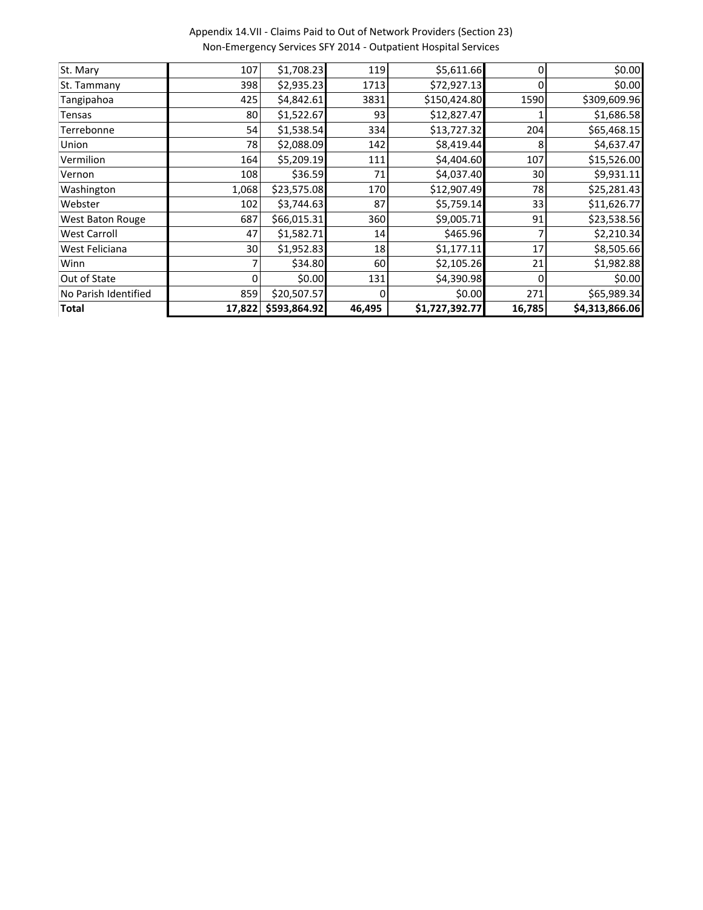Appendix 14.VII - Claims Paid to Out of Network Providers (Section 23) Non-Emergency Services SFY 2014 - Outpatient Hospital Services

| <b>Total</b>         | 17,822 | \$593,864.92 | 46,495 | \$1,727,392.77 | 16,785 | \$4,313,866.06 |
|----------------------|--------|--------------|--------|----------------|--------|----------------|
| No Parish Identified | 859    | \$20,507.57  | 0      | \$0.00         | 271    | \$65,989.34    |
| Out of State         |        | \$0.00       | 131    | \$4,390.98     | 0      | \$0.00         |
| Winn                 |        | \$34.80      | 60     | \$2,105.26     | 21     | \$1,982.88     |
| West Feliciana       | 30     | \$1,952.83   | 18     | \$1,177.11     | 17     | \$8,505.66     |
| <b>West Carroll</b>  | 47     | \$1,582.71   | 14     | \$465.96       |        | \$2,210.34     |
| West Baton Rouge     | 687    | \$66,015.31  | 360    | \$9,005.71     | 91     | \$23,538.56    |
| Webster              | 102    | \$3,744.63   | 87     | \$5,759.14     | 33     | \$11,626.77    |
| Washington           | 1,068  | \$23,575.08  | 170    | \$12,907.49    | 78     | \$25,281.43    |
| Vernon               | 108    | \$36.59      | 71     | \$4,037.40     | 30     | \$9,931.11     |
| Vermilion            | 164    | \$5,209.19   | 111    | \$4,404.60     | 107    | \$15,526.00    |
| Union                | 78     | \$2,088.09   | 142    | \$8,419.44     | 8      | \$4,637.47     |
| Terrebonne           | 54     | \$1,538.54   | 334    | \$13,727.32    | 204    | \$65,468.15    |
| Tensas               | 80     | \$1,522.67   | 93     | \$12,827.47    |        | \$1,686.58     |
| Tangipahoa           | 425    | \$4,842.61   | 3831   | \$150,424.80   | 1590   | \$309,609.96   |
| St. Tammany          | 398    | \$2,935.23   | 1713   | \$72,927.13    |        | \$0.00         |
| St. Mary             | 107    | \$1,708.23   | 119    | \$5,611.66     | 0      | \$0.00         |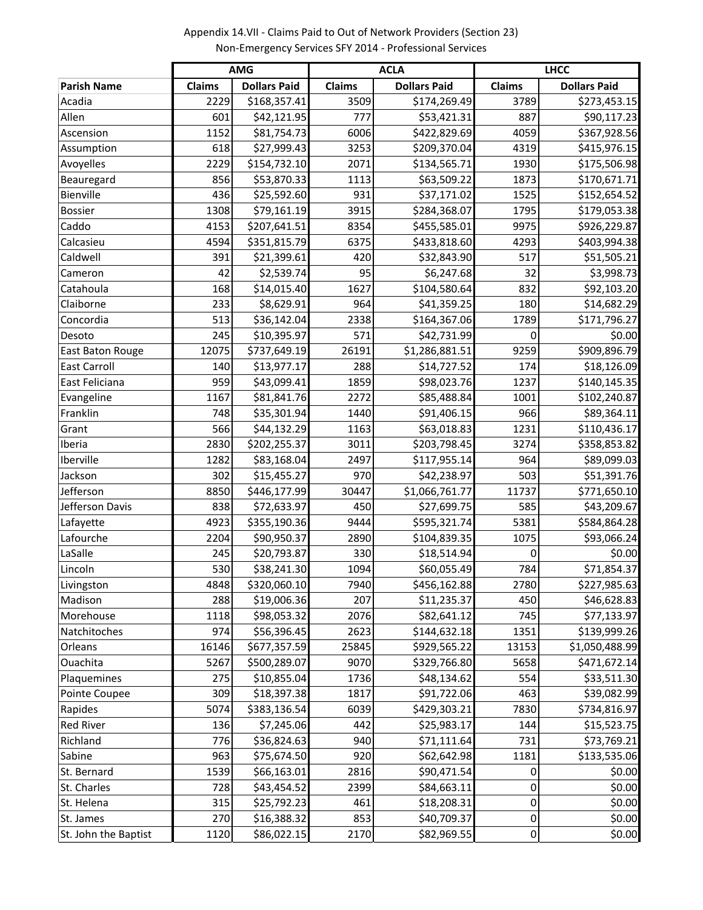Appendix 14.VII - Claims Paid to Out of Network Providers (Section 23) Non-Emergency Services SFY 2014 - Professional Services

|                         | <b>AMG</b>    |                     |               | <b>ACLA</b>         | <b>LHCC</b>      |                     |  |
|-------------------------|---------------|---------------------|---------------|---------------------|------------------|---------------------|--|
| <b>Parish Name</b>      | <b>Claims</b> | <b>Dollars Paid</b> | <b>Claims</b> | <b>Dollars Paid</b> | Claims           | <b>Dollars Paid</b> |  |
| Acadia                  | 2229          | \$168,357.41        | 3509          | \$174,269.49        | 3789             | \$273,453.15        |  |
| Allen                   | 601           | \$42,121.95         | 777           | \$53,421.31         | 887              | \$90,117.23         |  |
| Ascension               | 1152          | \$81,754.73         | 6006          | \$422,829.69        | 4059             | \$367,928.56        |  |
| Assumption              | 618           | \$27,999.43         | 3253          | \$209,370.04        | 4319             | \$415,976.15        |  |
| Avoyelles               | 2229          | \$154,732.10        | 2071          | \$134,565.71        | 1930             | \$175,506.98        |  |
| Beauregard              | 856           | \$53,870.33         | 1113          | \$63,509.22         | 1873             | \$170,671.71        |  |
| Bienville               | 436           | \$25,592.60         | 931           | \$37,171.02         | 1525             | \$152,654.52        |  |
| <b>Bossier</b>          | 1308          | \$79,161.19         | 3915          | \$284,368.07        | 1795             | \$179,053.38        |  |
| Caddo                   | 4153          | \$207,641.51        | 8354          | \$455,585.01        | 9975             | \$926,229.87        |  |
| Calcasieu               | 4594          | \$351,815.79        | 6375          | \$433,818.60        | 4293             | \$403,994.38        |  |
| Caldwell                | 391           | \$21,399.61         | 420           | \$32,843.90         | 517              | \$51,505.21         |  |
| Cameron                 | 42            | \$2,539.74          | 95            | \$6,247.68          | 32               | \$3,998.73          |  |
| Catahoula               | 168           | \$14,015.40         | 1627          | \$104,580.64        | 832              | \$92,103.20         |  |
| Claiborne               | 233           | \$8,629.91          | 964           | \$41,359.25         | 180              | \$14,682.29         |  |
| Concordia               | 513           | \$36,142.04         | 2338          | \$164,367.06        | 1789             | \$171,796.27        |  |
| Desoto                  | 245           | \$10,395.97         | 571           | \$42,731.99         | 0                | \$0.00              |  |
| <b>East Baton Rouge</b> | 12075         | \$737,649.19        | 26191         | \$1,286,881.51      | 9259             | \$909,896.79        |  |
| <b>East Carroll</b>     | 140           | \$13,977.17         | 288           | \$14,727.52         | 174              | \$18,126.09         |  |
| East Feliciana          | 959           | \$43,099.41         | 1859          | \$98,023.76         | 1237             | \$140,145.35        |  |
| Evangeline              | 1167          | \$81,841.76         | 2272          | \$85,488.84         | 1001             | \$102,240.87        |  |
| Franklin                | 748           | \$35,301.94         | 1440          | \$91,406.15         | 966              | \$89,364.11         |  |
| Grant                   | 566           | \$44,132.29         | 1163          | \$63,018.83         | 1231             | \$110,436.17        |  |
| Iberia                  | 2830          | \$202,255.37        | 3011          | \$203,798.45        | 3274             | \$358,853.82        |  |
| Iberville               | 1282          | \$83,168.04         | 2497          | \$117,955.14        | 964              | \$89,099.03         |  |
| Jackson                 | 302           | \$15,455.27         | 970           | \$42,238.97         | 503              | \$51,391.76         |  |
| Jefferson               | 8850          | \$446,177.99        | 30447         | \$1,066,761.77      | 11737            | \$771,650.10        |  |
| Jefferson Davis         | 838           | \$72,633.97         | 450           | \$27,699.75         | 585              | \$43,209.67         |  |
| Lafayette               | 4923          | \$355,190.36        | 9444          | \$595,321.74        | 5381             | \$584,864.28        |  |
| Lafourche               | 2204          | \$90,950.37         | 2890          | \$104,839.35        | 1075             | \$93,066.24         |  |
| LaSalle                 | 245           | \$20,793.87         | 330           | \$18,514.94         | 0                | \$0.00              |  |
| Lincoln                 | 530           | \$38,241.30         | 1094          | \$60,055.49         | 784              | \$71,854.37         |  |
| Livingston              | 4848          | \$320,060.10        | 7940          | \$456,162.88        | 2780             | \$227,985.63        |  |
| Madison                 | 288           | \$19,006.36         | 207           | \$11,235.37         | 450              | \$46,628.83         |  |
| Morehouse               | 1118          | \$98,053.32         | 2076          | \$82,641.12         | 745              | \$77,133.97         |  |
| Natchitoches            | 974           | \$56,396.45         | 2623          | \$144,632.18        | 1351             | \$139,999.26        |  |
| Orleans                 | 16146         | \$677,357.59        | 25845         | \$929,565.22        | 13153            | \$1,050,488.99      |  |
| Ouachita                | 5267          | \$500,289.07        | 9070          | \$329,766.80        | 5658             | \$471,672.14        |  |
| Plaquemines             | 275           | \$10,855.04         | 1736          | \$48,134.62         | 554              | \$33,511.30         |  |
| Pointe Coupee           | 309           | \$18,397.38         | 1817          | \$91,722.06         | 463              | \$39,082.99         |  |
| Rapides                 | 5074          | \$383,136.54        | 6039          | \$429,303.21        | 7830             | \$734,816.97        |  |
| <b>Red River</b>        | 136           | \$7,245.06          | 442           | \$25,983.17         | 144              | \$15,523.75         |  |
| Richland                | 776           | \$36,824.63         | 940           | \$71,111.64         | 731              | \$73,769.21         |  |
| Sabine                  | 963           | \$75,674.50         | 920           | \$62,642.98         | 1181             | \$133,535.06        |  |
| St. Bernard             | 1539          | \$66,163.01         | 2816          | \$90,471.54         | 0                | \$0.00              |  |
| St. Charles             | 728           | \$43,454.52         | 2399          | \$84,663.11         | 0                | \$0.00              |  |
| St. Helena              | 315           | \$25,792.23         | 461           | \$18,208.31         | 0                | \$0.00              |  |
| St. James               | 270           | \$16,388.32         | 853           | \$40,709.37         | 0                | \$0.00              |  |
| St. John the Baptist    | 1120          | \$86,022.15         | 2170          | \$82,969.55         | $\boldsymbol{0}$ | \$0.00              |  |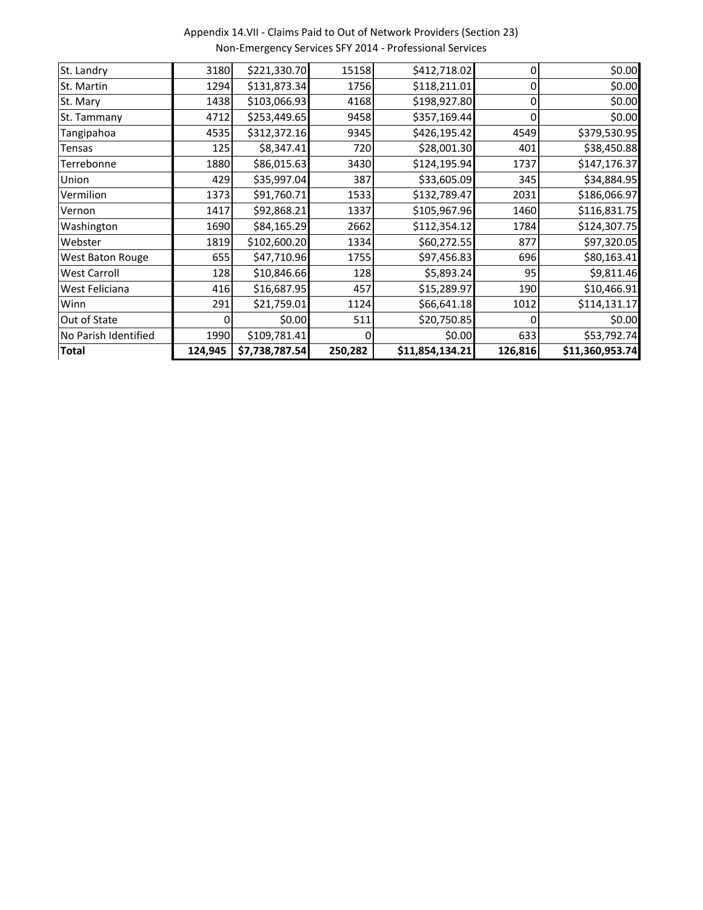Appendix 14.VII - Claims Paid to Out of Network Providers (Section 23) Non-Emergency Services SFY 2014 - Professional Services

| <b>Total</b>         | 124,945 | \$7,738,787.54 | 250,282 | \$11,854,134.21 | 126,816 | \$11,360,953.74 |
|----------------------|---------|----------------|---------|-----------------|---------|-----------------|
| No Parish Identified | 1990    | \$109,781.41   |         | \$0.00          | 633     | \$53,792.74     |
| Out of State         |         | \$0.00         | 511     | \$20,750.85     |         | \$0.00          |
| Winn                 | 291     | \$21,759.01    | 1124    | \$66,641.18     | 1012    | \$114,131.17    |
| West Feliciana       | 416     | \$16,687.95    | 457     | \$15,289.97     | 190     | \$10,466.91     |
| <b>West Carroll</b>  | 128     | \$10,846.66    | 128     | \$5,893.24      | 95      | \$9,811.46      |
| West Baton Rouge     | 655     | \$47,710.96    | 1755    | \$97,456.83     | 696     | \$80,163.41     |
| Webster              | 1819    | \$102,600.20   | 1334    | \$60,272.55     | 877     | \$97,320.05     |
| Washington           | 1690    | \$84,165.29    | 2662    | \$112,354.12    | 1784    | \$124,307.75    |
| Vernon               | 1417    | \$92,868.21    | 1337    | \$105,967.96    | 1460    | \$116,831.75    |
| Vermilion            | 1373    | \$91,760.71    | 1533    | \$132,789.47    | 2031    | \$186,066.97    |
| Union                | 429     | \$35,997.04    | 387     | \$33,605.09     | 345     | \$34,884.95     |
| Terrebonne           | 1880    | \$86,015.63    | 3430    | \$124,195.94    | 1737    | \$147,176.37    |
| Tensas               | 125     | \$8,347.41     | 720     | \$28,001.30     | 401     | \$38,450.88     |
| Tangipahoa           | 4535    | \$312,372.16   | 9345    | \$426,195.42    | 4549    | \$379,530.95    |
| St. Tammany          | 4712    | \$253,449.65   | 9458    | \$357,169.44    | 0       | \$0.00          |
| St. Mary             | 1438    | \$103,066.93   | 4168    | \$198,927.80    |         | \$0.00          |
| St. Martin           | 1294    | \$131,873.34   | 1756    | \$118,211.01    |         | \$0.00          |
| St. Landry           | 3180    | \$221,330.70   | 15158   | \$412,718.02    | 0       | \$0.00          |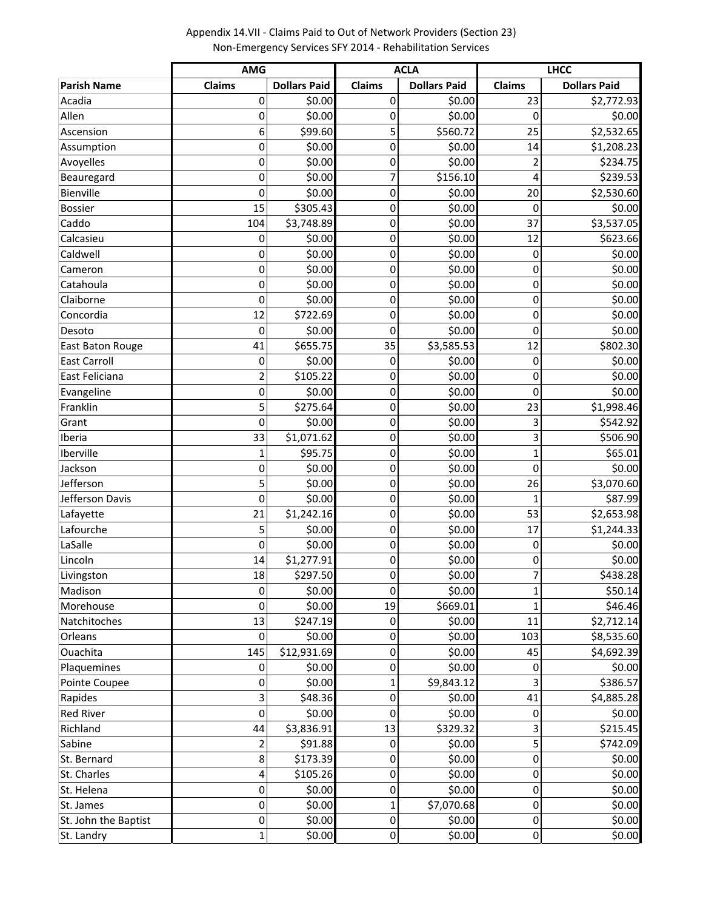**Parish Name Claims Dollars Paid Claims Dollars Paid Claims Dollars Paid** Acadia 0 \$0.00 0 \$0.00 23 \$2,772.93 Allen 0| \$0.00 0 \$0.00 0 \$0.00 Ascension 6| \$99.60 5| \$560.72 25 \$2,532.65 Assumption 0 \$0.00 0 \$0.00 14 \$1,208.23 Avoyelles 0| \$0.00 0 \$0.00 2 \$234.75 Beauregard 0 \$0.00 7 \$156.10 4 \$239.53 Bienville 0 \$0.00 0 \$0.00 20 \$2,530.60 Bossier 15 | \$305.43 | 0 | \$0.00 | \$0.00 Caddo 104 \$3,748.89 0 \$0.00 37 \$3,537.05 Calcasieu 0 \$0.00 0 \$0.00 12 \$623.66 Caldwell 0 \$0.00 0 \$0.00 0 \$0.00 Cameron 0 \$0.00 0 \$0.00 0 \$0.00 Catahoula 0 \$0.00 0 \$0.00 0 \$0.00 Claiborne 0 \$0.00 0 \$0.00 0 \$0.00 Concordia 12 \$722.69 0 \$0.00 0 \$0.00 Desoto 0| \$0.00 0 \$0.00 0 \$0.00 East Baton Rouge 1 41 \$655.75 35 \$3,585.53 12 \$802.30 East Carroll 0 \$0.00 0 \$0.00 0 \$0.00 East Feliciana 2 \$105.22 0 \$0.00 0 \$0.00 Evangeline 0 \$0.00 0 \$0.00 0 \$0.00 Franklin 5 \$275.64 0 \$0.00 23 \$1,998.46 Grant 0| \$0.00 0 \$0.00 3 \$542.92 Iberia 33 \$1,071.62 0 \$0.00 3 \$506.90 Iberville 1 \$95.75 0 \$0.00 1 \$65.01 Jackson 0| \$0.00 0 \$0.00 0 \$0.00 Jefferson 5 \$0.00 0 \$0.00 26 \$3,070.60 Jefferson Davis 0 \$0.00 0 \$0.00 1 \$87.99 Lafayette 21 \$1,242.16 0 \$0.00 53 \$2,653.98 Lafourche 5 \$0.00 0 \$0.00 17 \$1,244.33 LaSalle 0| \$0.00 0 \$0.00 0 \$0.00 Lincoln 14 \$1,277.91 0 \$0.00 0 \$0.00 Livingston 18 \$297.50 0 \$0.00 7 \$438.28 Madison 0 \$0.00 0 \$0.00 1 \$50.14 Morehouse 0 \$0.00 19 \$669.01 1 \$46.46 Natchitoches 13 \$247.19 0 \$0.00 11 \$2,712.14 Orleans 0| \$0.00 0 \$0.00 103 \$8,535.60 Ouachita 145 \$12,931.69 0 \$0.00 45 \$4,692.39 Plaquemines 0 \$0.00 0 \$0.00 0 \$0.00 Pointe Coupee 0 \$0.00 1 \$9,843.12 3 \$386.57 Rapides 3 \$48.36 0 \$0.00 41 \$4,885.28 Red River 0| \$0.00 \$0.00 \$0.00 Richland 44 \$3,836.91 13 \$329.32 3 \$215.45 Sabine 2 \$91.88 0 \$0.00 5 \$742.09 St. Bernard 8| \$173.39| 0 \$0.00| 0 \$0.00 St. Charles 4| \$105.26 0 \$0.00 0 \$0.00 St. Helena 0 \$0.00 0 \$0.00 0 \$0.00 St. James 0 \$0.00 1 \$7,070.68 0 \$0.00 St. John the Baptist 0 \$0.00 0 \$0.00 0 \$0.00 **AMG ACLA LHCC**

St. Landry 1| \$0.00 0 \$0.00 0 \$0.00

Appendix 14.VII - Claims Paid to Out of Network Providers (Section 23) Non-Emergency Services SFY 2014 - Rehabilitation Services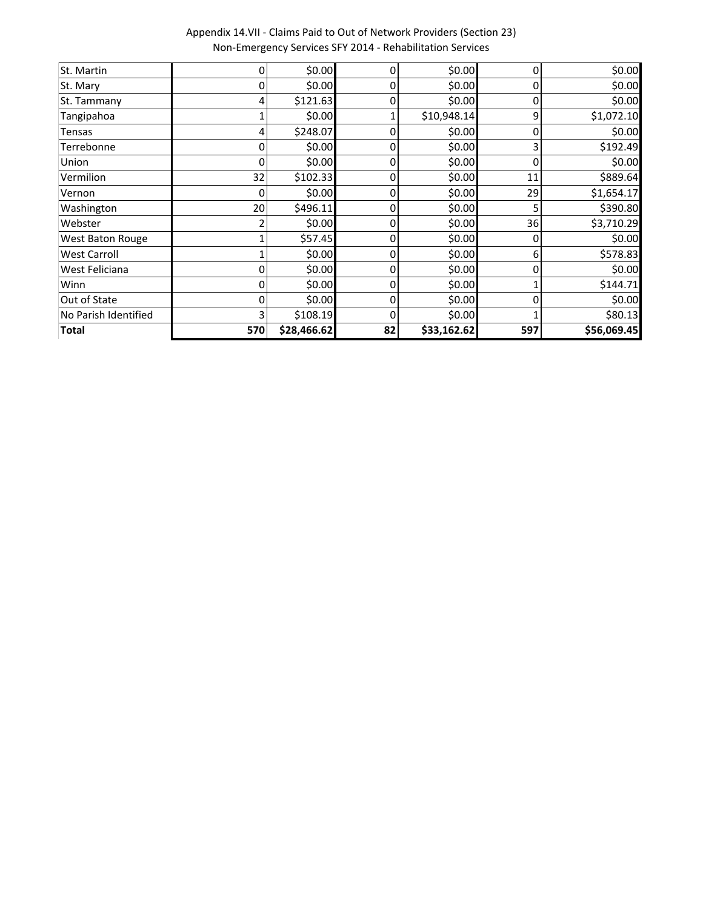Appendix 14.VII - Claims Paid to Out of Network Providers (Section 23) Non-Emergency Services SFY 2014 - Rehabilitation Services

| St. Martin           | ი   | \$0.00      | $\Omega$       | \$0.00      | 0   | \$0.00      |
|----------------------|-----|-------------|----------------|-------------|-----|-------------|
| St. Mary             | 0   | \$0.00      | 0              | \$0.00      |     | \$0.00      |
| St. Tammany          |     | \$121.63    | 0              | \$0.00      |     | \$0.00      |
| Tangipahoa           |     | \$0.00      |                | \$10,948.14 | ٩   | \$1,072.10  |
| Tensas               |     | \$248.07    |                | \$0.00      |     | \$0.00      |
| Terrebonne           |     | \$0.00      |                | \$0.00      |     | \$192.49    |
| Union                |     | \$0.00      |                | \$0.00      |     | \$0.00      |
| Vermilion            | 32  | \$102.33    | 0              | \$0.00      | 11  | \$889.64    |
| Vernon               | 0   | \$0.00      | 0              | \$0.00      | 29  | \$1,654.17  |
| Washington           | 20  | \$496.11    | $\overline{0}$ | \$0.00      |     | \$390.80    |
| Webster              |     | \$0.00      | $\overline{0}$ | \$0.00      | 36  | \$3,710.29  |
| West Baton Rouge     |     | \$57.45     | 0              | \$0.00      | 0   | \$0.00      |
| <b>West Carroll</b>  |     | \$0.00      | 0              | \$0.00      | 6   | \$578.83    |
| West Feliciana       | 0   | \$0.00      | 0              | \$0.00      | 0   | \$0.00      |
| Winn                 | 0   | \$0.00      | $\overline{0}$ | \$0.00      |     | \$144.71    |
| Out of State         |     | \$0.00      | 0              | \$0.00      | 0   | \$0.00      |
| No Parish Identified |     | \$108.19    | 0              | \$0.00      |     | \$80.13     |
| <b>Total</b>         | 570 | \$28,466.62 | 82             | \$33,162.62 | 597 | \$56,069.45 |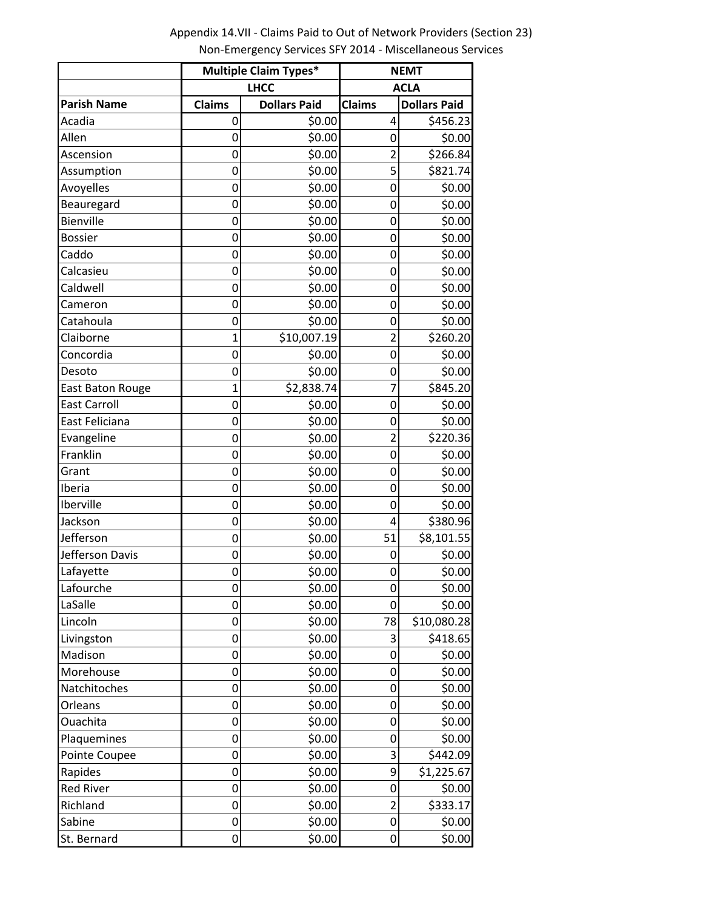Appendix 14.VII - Claims Paid to Out of Network Providers (Section 23) Non-Emergency Services SFY 2014 - Miscellaneous Services

|                     | <b>Multiple Claim Types*</b> |                     | <b>NEMT</b>    |                     |  |  |
|---------------------|------------------------------|---------------------|----------------|---------------------|--|--|
|                     |                              | <b>LHCC</b>         |                | <b>ACLA</b>         |  |  |
| <b>Parish Name</b>  | <b>Claims</b>                | <b>Dollars Paid</b> | <b>Claims</b>  | <b>Dollars Paid</b> |  |  |
| Acadia              | 0                            | \$0.00              | 4              | \$456.23            |  |  |
| Allen               | 0                            | \$0.00              | 0              | \$0.00              |  |  |
| Ascension           | 0                            | \$0.00              | $\overline{2}$ | \$266.84            |  |  |
| Assumption          | 0                            | \$0.00              | 5              | \$821.74            |  |  |
| Avoyelles           | 0                            | \$0.00              | 0              | \$0.00              |  |  |
| Beauregard          | 0                            | \$0.00              | 0              | \$0.00              |  |  |
| Bienville           | 0                            | \$0.00              | 0              | \$0.00              |  |  |
| <b>Bossier</b>      | 0                            | \$0.00              | 0              | \$0.00              |  |  |
| Caddo               | 0                            | \$0.00              | 0              | \$0.00              |  |  |
| Calcasieu           | 0                            | \$0.00              | 0              | \$0.00              |  |  |
| Caldwell            | 0                            | \$0.00              | 0              | \$0.00              |  |  |
| Cameron             | 0                            | \$0.00              | 0              | \$0.00              |  |  |
| Catahoula           | 0                            | \$0.00              | 0              | \$0.00              |  |  |
| Claiborne           | $\overline{1}$               | \$10,007.19         | $\overline{2}$ | \$260.20            |  |  |
| Concordia           | 0                            | \$0.00              | 0              | \$0.00              |  |  |
| Desoto              | 0                            | \$0.00              | 0              | \$0.00              |  |  |
| East Baton Rouge    | 1                            | \$2,838.74          | 7              | \$845.20            |  |  |
| <b>East Carroll</b> | 0                            | \$0.00              | 0              | \$0.00              |  |  |
| East Feliciana      | 0                            | \$0.00              | 0              | \$0.00              |  |  |
| Evangeline          | 0                            | \$0.00              | $\overline{2}$ | \$220.36            |  |  |
| Franklin            | 0                            | \$0.00              | 0              | \$0.00              |  |  |
| Grant               | 0                            | \$0.00              | 0              | \$0.00              |  |  |
| Iberia              | 0                            | \$0.00              | 0              | \$0.00              |  |  |
| Iberville           | 0                            | \$0.00              | 0              | \$0.00              |  |  |
| Jackson             | 0                            | \$0.00              | 4              | \$380.96            |  |  |
| Jefferson           | 0                            | \$0.00              | 51             | \$8,101.55          |  |  |
| Jefferson Davis     | 0                            | \$0.00              | 0              | \$0.00              |  |  |
| Lafayette           | 0                            | \$0.00              | 0              | \$0.00              |  |  |
| Lafourche           | 0                            | \$0.00              | 0              | \$0.00              |  |  |
| LaSalle             | 0                            | \$0.00              | 0              | \$0.00              |  |  |
| Lincoln             | 0                            | \$0.00              | 78             | \$10,080.28         |  |  |
| Livingston          | 0                            | \$0.00              | 3              | \$418.65            |  |  |
| Madison             | 0                            | \$0.00              | 0              | \$0.00              |  |  |
| Morehouse           | 0                            | \$0.00              | 0              | \$0.00              |  |  |
| Natchitoches        | $\mathbf 0$                  | \$0.00              | 0              | \$0.00              |  |  |
| Orleans             | 0                            | \$0.00              | 0              | \$0.00              |  |  |
| Ouachita            | 0                            | \$0.00              | 0              | \$0.00              |  |  |
| Plaquemines         | 0                            | \$0.00              | 0              | \$0.00              |  |  |
| Pointe Coupee       | 0                            | \$0.00              | 3              | \$442.09            |  |  |
| Rapides             | 0                            | \$0.00              | 9              | \$1,225.67          |  |  |
| <b>Red River</b>    | 0                            | \$0.00              | 0              | \$0.00              |  |  |
| Richland            | 0                            | \$0.00              | $\overline{2}$ | \$333.17            |  |  |
| Sabine              | 0                            | \$0.00              | 0              | \$0.00              |  |  |
| St. Bernard         | 0                            | \$0.00              | 0              | \$0.00              |  |  |